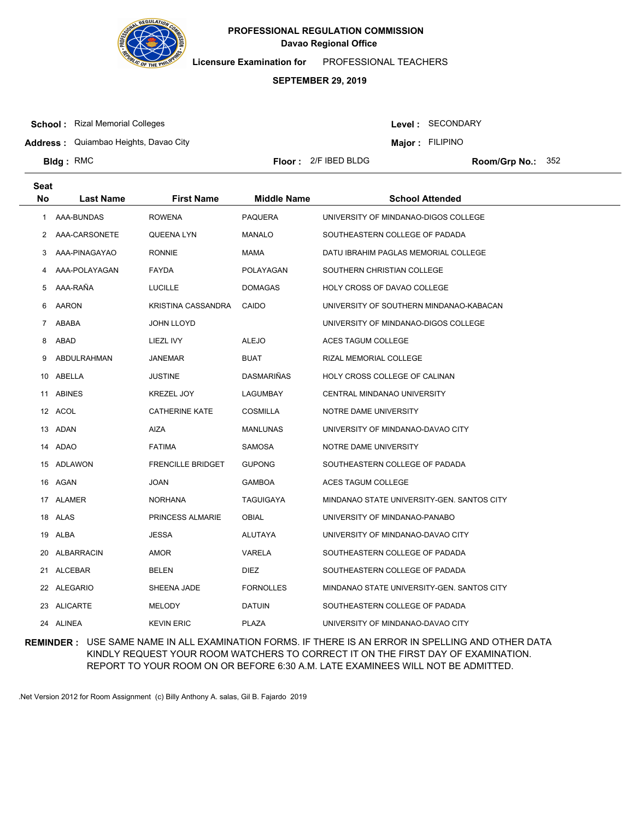

**Licensure Examination for**  PROFESSIONAL TEACHERS

#### **SEPTEMBER 29, 2019**

**School :** Rizal Memorial Colleges

**Bldg**: RMC

Level : SECONDARY

**Major : FILIPINO** 

**Address :** Quiambao Heights, Davao City

**Floor :** 2/F IBED BLDG

Room/Grp No.: 352

**Last Name First Name Middle Name School Attended Seat No** 1 AAA-BUNDAS ROWENA PAQUERA UNIVERSITY OF MINDANAO-DIGOS COLLEGE 2 AAA-CARSONETE QUEENA LYN MANALO SOUTHEASTERN COLLEGE OF PADADA 3 AAA-PINAGAYAO RONNIE MAMA DATU IBRAHIM PAGLAS MEMORIAL COLLEGE 4 AAA-POLAYAGAN FAYDA POLAYAGAN SOUTHERN CHRISTIAN COLLEGE 5 AAA-RAÑA LUCILLE DOMAGAS HOLY CROSS OF DAVAO COLLEGE 6 AARON KRISTINA CASSANDRA CAIDO UNIVERSITY OF SOUTHERN MINDANAO-KABACAN 7 ABABA JOHN LLOYD UNIVERSITY OF MINDANAO-DIGOS COLLEGE 8 ABAD LIEZL IVY ALEJO ACES TAGUM COLLEGE 9 ABDULRAHMAN JANEMAR BUAT BUAT RIZAL MEMORIAL COLLEGE 10 ABELLA JUSTINE DASMARIÑAS HOLY CROSS COLLEGE OF CALINAN 11 ABINES KREZEL JOY LAGUMBAY CENTRAL MINDANAO UNIVERSITY 12 ACOL CATHERINE KATE COSMILLA NOTRE DAME UNIVERSITY 13 ADAN AIZA MANLUNAS UNIVERSITY OF MINDANAO-DAVAO CITY 14 ADAO FATIMA SAMOSA NOTRE DAME UNIVERSITY 15 ADLAWON FRENCILLE BRIDGET GUPONG SOUTHEASTERN COLLEGE OF PADADA 16 AGAN JOAN GAMBOA ACES TAGUM COLLEGE 17 ALAMER NORHANA TAGUIGAYA MINDANAO STATE UNIVERSITY-GEN. SANTOS CITY 18 ALAS PRINCESS ALMARIE OBIAL UNIVERSITY OF MINDANAO-PANABO 19 ALBA JESSA ALUTAYA UNIVERSITY OF MINDANAO-DAVAO CITY 20 ALBARRACIN AMOR VARELA SOUTHEASTERN COLLEGE OF PADADA 21 ALCEBAR BELEN DIEZ SOUTHEASTERN COLLEGE OF PADADA 22 ALEGARIO SHEENA JADE FORNOLLES MINDANAO STATE UNIVERSITY-GEN. SANTOS CITY 23 ALICARTE MELODY DATUIN SOUTHEASTERN COLLEGE OF PADADA 24 ALINEA KEVIN ERIC PLAZA UNIVERSITY OF MINDANAO-DAVAO CITY

**REMINDER :** USE SAME NAME IN ALL EXAMINATION FORMS. IF THERE IS AN ERROR IN SPELLING AND OTHER DATA KINDLY REQUEST YOUR ROOM WATCHERS TO CORRECT IT ON THE FIRST DAY OF EXAMINATION. REPORT TO YOUR ROOM ON OR BEFORE 6:30 A.M. LATE EXAMINEES WILL NOT BE ADMITTED.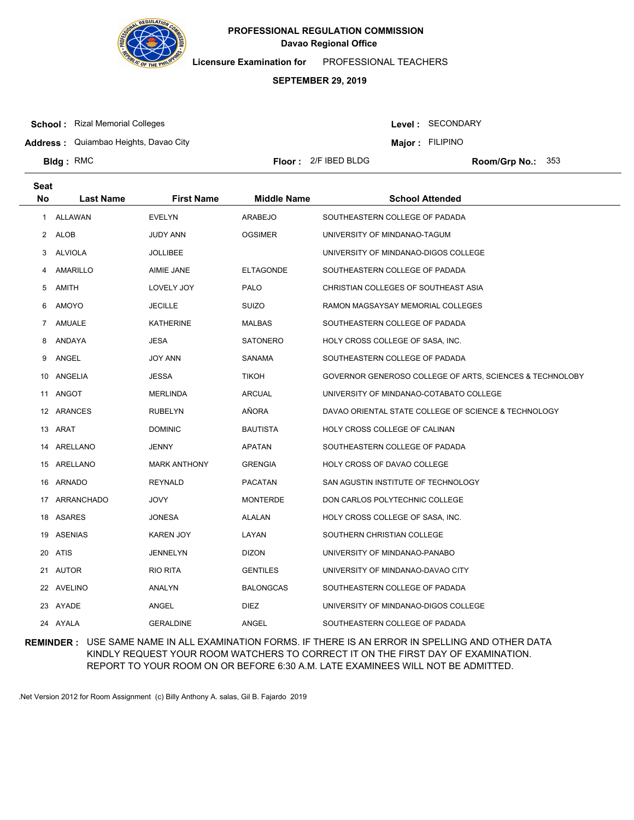

**Licensure Examination for**  PROFESSIONAL TEACHERS

## **SEPTEMBER 29, 2019**

**School :** Rizal Memorial Colleges

**Seat**

**Bldg**: RMC

Level : SECONDARY

**Major : FILIPINO** 

**Address :** Quiambao Heights, Davao City

**Floor :** 2/F IBED BLDG

Room/Grp No.: 353

| No | <b>Last Name</b> | <b>First Name</b>   | <b>Middle Name</b> | <b>School Attended</b>                                   |
|----|------------------|---------------------|--------------------|----------------------------------------------------------|
|    | 1 ALLAWAN        | <b>EVELYN</b>       | ARABEJO            | SOUTHEASTERN COLLEGE OF PADADA                           |
|    | 2 ALOB           | JUDY ANN            | <b>OGSIMER</b>     | UNIVERSITY OF MINDANAO-TAGUM                             |
| 3  | ALVIOLA          | <b>JOLLIBEE</b>     |                    | UNIVERSITY OF MINDANAO-DIGOS COLLEGE                     |
| 4  | AMARILLO         | AIMIE JANE          | <b>ELTAGONDE</b>   | SOUTHEASTERN COLLEGE OF PADADA                           |
| 5  | AMITH            | LOVELY JOY          | <b>PALO</b>        | CHRISTIAN COLLEGES OF SOUTHEAST ASIA                     |
| 6  | AMOYO            | <b>JECILLE</b>      | <b>SUIZO</b>       | RAMON MAGSAYSAY MEMORIAL COLLEGES                        |
| 7  | AMUALE           | KATHERINE           | MALBAS             | SOUTHEASTERN COLLEGE OF PADADA                           |
| 8  | ANDAYA           | JESA                | <b>SATONERO</b>    | HOLY CROSS COLLEGE OF SASA, INC.                         |
| 9  | ANGEL            | JOY ANN             | SANAMA             | SOUTHEASTERN COLLEGE OF PADADA                           |
|    | 10 ANGELIA       | JESSA               | TIKOH              | GOVERNOR GENEROSO COLLEGE OF ARTS, SCIENCES & TECHNOLOBY |
|    | 11 ANGOT         | MERLINDA            | ARCUAL             | UNIVERSITY OF MINDANAO-COTABATO COLLEGE                  |
|    | 12 ARANCES       | <b>RUBELYN</b>      | AÑORA              | DAVAO ORIENTAL STATE COLLEGE OF SCIENCE & TECHNOLOGY     |
|    | 13 ARAT          | <b>DOMINIC</b>      | <b>BAUTISTA</b>    | HOLY CROSS COLLEGE OF CALINAN                            |
|    | 14 ARELLANO      | JENNY               | APATAN             | SOUTHEASTERN COLLEGE OF PADADA                           |
|    | 15 ARELLANO      | <b>MARK ANTHONY</b> | <b>GRENGIA</b>     | HOLY CROSS OF DAVAO COLLEGE                              |
|    | 16 ARNADO        | <b>REYNALD</b>      | <b>PACATAN</b>     | SAN AGUSTIN INSTITUTE OF TECHNOLOGY                      |
|    | 17 ARRANCHADO    | JOVY                | <b>MONTERDE</b>    | DON CARLOS POLYTECHNIC COLLEGE                           |
|    | 18 ASARES        | JONESA              | ALALAN             | HOLY CROSS COLLEGE OF SASA, INC.                         |
|    | 19 ASENIAS       | KAREN JOY           | LAYAN              | SOUTHERN CHRISTIAN COLLEGE                               |
|    | 20 ATIS          | <b>JENNELYN</b>     | <b>DIZON</b>       | UNIVERSITY OF MINDANAO-PANABO                            |
|    | 21 AUTOR         | RIO RITA            | <b>GENTILES</b>    | UNIVERSITY OF MINDANAO-DAVAO CITY                        |
|    | 22 AVELINO       | ANALYN              | BALONGCAS          | SOUTHEASTERN COLLEGE OF PADADA                           |
|    | 23 AYADE         | ANGEL               | <b>DIEZ</b>        | UNIVERSITY OF MINDANAO-DIGOS COLLEGE                     |
|    | 24 AYALA         | <b>GERALDINE</b>    | ANGEL              | SOUTHEASTERN COLLEGE OF PADADA                           |

**REMINDER :** USE SAME NAME IN ALL EXAMINATION FORMS. IF THERE IS AN ERROR IN SPELLING AND OTHER DATA KINDLY REQUEST YOUR ROOM WATCHERS TO CORRECT IT ON THE FIRST DAY OF EXAMINATION. REPORT TO YOUR ROOM ON OR BEFORE 6:30 A.M. LATE EXAMINEES WILL NOT BE ADMITTED.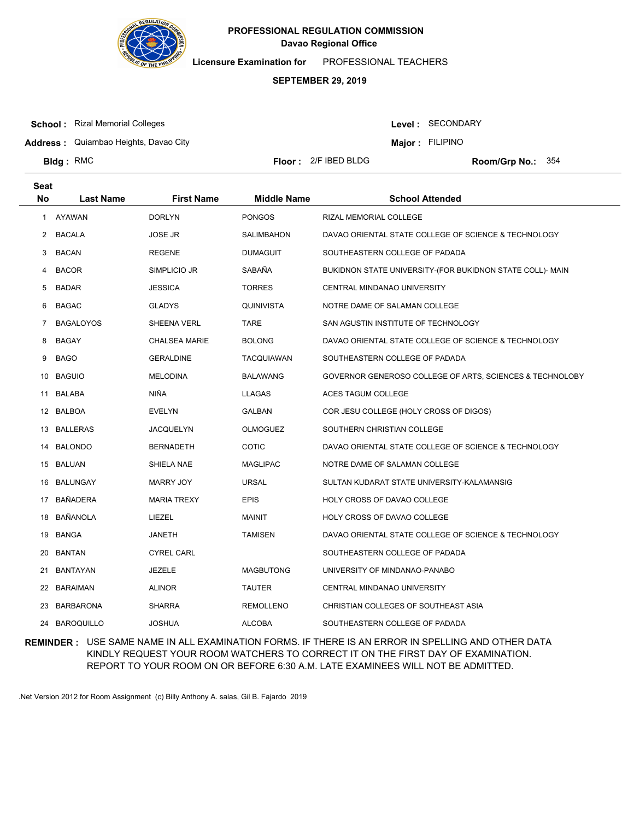

**Licensure Examination for**  PROFESSIONAL TEACHERS

## **SEPTEMBER 29, 2019**

**School :** Rizal Memorial Colleges

Level : SECONDARY

**Major : FILIPINO** 

**Address :** Quiambao Heights, Davao City

**Bldg**: RMC

**Floor :** 2/F IBED BLDG

Room/Grp No.: 354

| <b>Seat</b> |                  |                      |                    |                                                           |
|-------------|------------------|----------------------|--------------------|-----------------------------------------------------------|
| <b>No</b>   | <b>Last Name</b> | <b>First Name</b>    | <b>Middle Name</b> | <b>School Attended</b>                                    |
| 1           | AYAWAN           | <b>DORLYN</b>        | <b>PONGOS</b>      | RIZAL MEMORIAL COLLEGE                                    |
| 2           | <b>BACALA</b>    | <b>JOSE JR</b>       | SALIMBAHON         | DAVAO ORIENTAL STATE COLLEGE OF SCIENCE & TECHNOLOGY      |
| 3           | <b>BACAN</b>     | <b>REGENE</b>        | <b>DUMAGUIT</b>    | SOUTHEASTERN COLLEGE OF PADADA                            |
| 4           | <b>BACOR</b>     | SIMPLICIO JR         | SABAÑA             | BUKIDNON STATE UNIVERSITY-(FOR BUKIDNON STATE COLL)- MAIN |
| 5           | <b>BADAR</b>     | <b>JESSICA</b>       | <b>TORRES</b>      | CENTRAL MINDANAO UNIVERSITY                               |
| 6           | <b>BAGAC</b>     | <b>GLADYS</b>        | QUINIVISTA         | NOTRE DAME OF SALAMAN COLLEGE                             |
| 7           | <b>BAGALOYOS</b> | SHEENA VERL          | <b>TARE</b>        | SAN AGUSTIN INSTITUTE OF TECHNOLOGY                       |
| 8           | <b>BAGAY</b>     | <b>CHALSEA MARIE</b> | <b>BOLONG</b>      | DAVAO ORIENTAL STATE COLLEGE OF SCIENCE & TECHNOLOGY      |
| 9           | <b>BAGO</b>      | <b>GERALDINE</b>     | <b>TACQUIAWAN</b>  | SOUTHEASTERN COLLEGE OF PADADA                            |
| 10          | <b>BAGUIO</b>    | <b>MELODINA</b>      | <b>BALAWANG</b>    | GOVERNOR GENEROSO COLLEGE OF ARTS, SCIENCES & TECHNOLOBY  |
|             | 11 BALABA        | NIÑA                 | <b>LLAGAS</b>      | ACES TAGUM COLLEGE                                        |
| 12          | BALBOA           | <b>EVELYN</b>        | GALBAN             | COR JESU COLLEGE (HOLY CROSS OF DIGOS)                    |
| 13          | BALLERAS         | <b>JACQUELYN</b>     | OLMOGUEZ           | SOUTHERN CHRISTIAN COLLEGE                                |
| 14          | BALONDO          | <b>BERNADETH</b>     | <b>COTIC</b>       | DAVAO ORIENTAL STATE COLLEGE OF SCIENCE & TECHNOLOGY      |
|             | 15 BALUAN        | SHIELA NAE           | MAGLIPAC           | NOTRE DAME OF SALAMAN COLLEGE                             |
| 16          | BALUNGAY         | <b>MARRY JOY</b>     | <b>URSAL</b>       | SULTAN KUDARAT STATE UNIVERSITY-KALAMANSIG                |
| 17          | <b>BAÑADERA</b>  | <b>MARIA TREXY</b>   | EPIS               | HOLY CROSS OF DAVAO COLLEGE                               |
| 18          | BAÑANOLA         | LIEZEL               | <b>MAINIT</b>      | HOLY CROSS OF DAVAO COLLEGE                               |
| 19          | BANGA            | JANETH               | <b>TAMISEN</b>     | DAVAO ORIENTAL STATE COLLEGE OF SCIENCE & TECHNOLOGY      |
| 20          | <b>BANTAN</b>    | <b>CYREL CARL</b>    |                    | SOUTHEASTERN COLLEGE OF PADADA                            |
| 21          | BANTAYAN         | JEZELE               | <b>MAGBUTONG</b>   | UNIVERSITY OF MINDANAO-PANABO                             |
| 22          | <b>BARAIMAN</b>  | <b>ALINOR</b>        | <b>TAUTER</b>      | CENTRAL MINDANAO UNIVERSITY                               |
| 23          | <b>BARBARONA</b> | <b>SHARRA</b>        | <b>REMOLLENO</b>   | CHRISTIAN COLLEGES OF SOUTHEAST ASIA                      |
|             | 24 BAROQUILLO    | <b>JOSHUA</b>        | <b>ALCOBA</b>      | SOUTHEASTERN COLLEGE OF PADADA                            |

**REMINDER :** USE SAME NAME IN ALL EXAMINATION FORMS. IF THERE IS AN ERROR IN SPELLING AND OTHER DATA KINDLY REQUEST YOUR ROOM WATCHERS TO CORRECT IT ON THE FIRST DAY OF EXAMINATION. REPORT TO YOUR ROOM ON OR BEFORE 6:30 A.M. LATE EXAMINEES WILL NOT BE ADMITTED.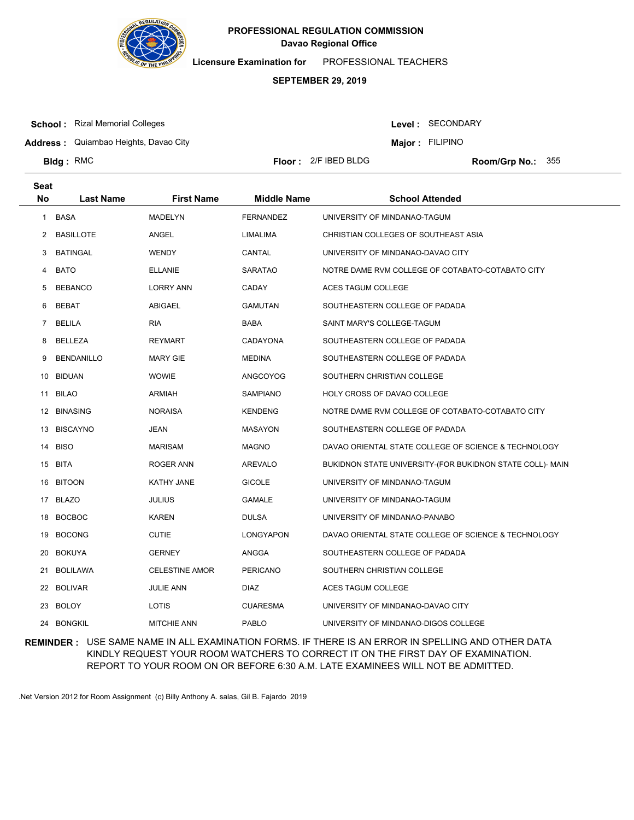

**Licensure Examination for**  PROFESSIONAL TEACHERS

## **SEPTEMBER 29, 2019**

**School :** Rizal Memorial Colleges

**Seat**

**Bldg**: RMC

Level : SECONDARY

**Major : FILIPINO** 

**Address :** Quiambao Heights, Davao City

**Floor :** 2/F IBED BLDG

Room/Grp No.: 355

| υσαι<br>No | <b>Last Name</b>  | <b>First Name</b>     | <b>Middle Name</b> | <b>School Attended</b>                                    |
|------------|-------------------|-----------------------|--------------------|-----------------------------------------------------------|
| 1          | BASA              | <b>MADELYN</b>        | <b>FERNANDEZ</b>   | UNIVERSITY OF MINDANAO-TAGUM                              |
| 2          | <b>BASILLOTE</b>  | ANGEL                 | LIMALIMA           | CHRISTIAN COLLEGES OF SOUTHEAST ASIA                      |
| 3          | <b>BATINGAL</b>   | <b>WENDY</b>          | CANTAL             | UNIVERSITY OF MINDANAO-DAVAO CITY                         |
| 4          | <b>BATO</b>       | <b>ELLANIE</b>        | <b>SARATAO</b>     | NOTRE DAME RVM COLLEGE OF COTABATO-COTABATO CITY          |
| 5          | <b>BEBANCO</b>    | <b>LORRY ANN</b>      | <b>CADAY</b>       | ACES TAGUM COLLEGE                                        |
| 6          | <b>BEBAT</b>      | <b>ABIGAEL</b>        | <b>GAMUTAN</b>     | SOUTHEASTERN COLLEGE OF PADADA                            |
| 7          | <b>BELILA</b>     | <b>RIA</b>            | BABA               | SAINT MARY'S COLLEGE-TAGUM                                |
| 8          | BELLEZA           | <b>REYMART</b>        | <b>CADAYONA</b>    | SOUTHEASTERN COLLEGE OF PADADA                            |
| 9          | <b>BENDANILLO</b> | <b>MARY GIE</b>       | <b>MEDINA</b>      | SOUTHEASTERN COLLEGE OF PADADA                            |
| 10         | BIDUAN            | <b>WOWIE</b>          | <b>ANGCOYOG</b>    | SOUTHERN CHRISTIAN COLLEGE                                |
| 11         | BILAO             | <b>ARMIAH</b>         | <b>SAMPIANO</b>    | HOLY CROSS OF DAVAO COLLEGE                               |
|            | 12 BINASING       | <b>NORAISA</b>        | <b>KENDENG</b>     | NOTRE DAME RVM COLLEGE OF COTABATO-COTABATO CITY          |
| 13         | BISCAYNO          | JEAN                  | <b>MASAYON</b>     | SOUTHEASTERN COLLEGE OF PADADA                            |
| 14         | <b>BISO</b>       | <b>MARISAM</b>        | <b>MAGNO</b>       | DAVAO ORIENTAL STATE COLLEGE OF SCIENCE & TECHNOLOGY      |
| 15         | BITA              | ROGER ANN             | AREVALO            | BUKIDNON STATE UNIVERSITY-(FOR BUKIDNON STATE COLL)- MAIN |
| 16         | <b>BITOON</b>     | KATHY JANE            | <b>GICOLE</b>      | UNIVERSITY OF MINDANAO-TAGUM                              |
|            | 17 BLAZO          | <b>JULIUS</b>         | <b>GAMALE</b>      | UNIVERSITY OF MINDANAO-TAGUM                              |
| 18         | <b>BOCBOC</b>     | <b>KAREN</b>          | <b>DULSA</b>       | UNIVERSITY OF MINDANAO-PANABO                             |
| 19         | <b>BOCONG</b>     | <b>CUTIE</b>          | LONGYAPON          | DAVAO ORIENTAL STATE COLLEGE OF SCIENCE & TECHNOLOGY      |
| 20         | BOKUYA            | <b>GERNEY</b>         | ANGGA              | SOUTHEASTERN COLLEGE OF PADADA                            |
| 21         | BOLILAWA          | <b>CELESTINE AMOR</b> | <b>PERICANO</b>    | SOUTHERN CHRISTIAN COLLEGE                                |
|            | 22 BOLIVAR        | <b>JULIE ANN</b>      | <b>DIAZ</b>        | ACES TAGUM COLLEGE                                        |
| 23         | BOLOY             | LOTIS                 | <b>CUARESMA</b>    | UNIVERSITY OF MINDANAO-DAVAO CITY                         |
|            | 24 BONGKIL        | <b>MITCHIE ANN</b>    | <b>PABLO</b>       | UNIVERSITY OF MINDANAO-DIGOS COLLEGE                      |

**REMINDER :** USE SAME NAME IN ALL EXAMINATION FORMS. IF THERE IS AN ERROR IN SPELLING AND OTHER DATA KINDLY REQUEST YOUR ROOM WATCHERS TO CORRECT IT ON THE FIRST DAY OF EXAMINATION. REPORT TO YOUR ROOM ON OR BEFORE 6:30 A.M. LATE EXAMINEES WILL NOT BE ADMITTED.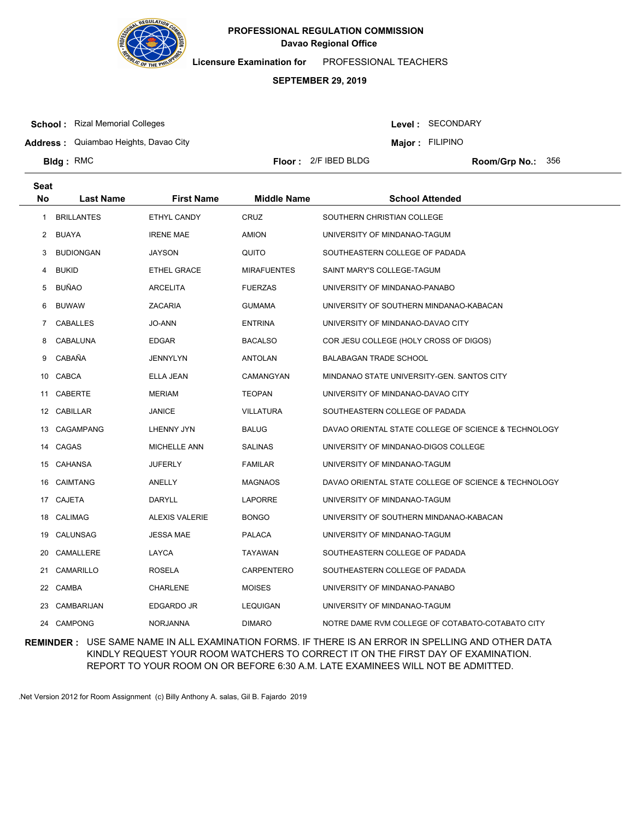

**Licensure Examination for**  PROFESSIONAL TEACHERS

## **SEPTEMBER 29, 2019**

**School :** Rizal Memorial Colleges

Level : SECONDARY

**Address :** Quiambao Heights, Davao City

**Major : FILIPINO** 

**Bldg**: RMC

**Seat**

**Floor :** 2/F IBED BLDG

Room/Grp No.: 356

| No. | <b>Last Name</b>  | <b>First Name</b>     | <b>Middle Name</b> | <b>School Attended</b>                               |
|-----|-------------------|-----------------------|--------------------|------------------------------------------------------|
| 1   | <b>BRILLANTES</b> | ETHYL CANDY           | <b>CRUZ</b>        | SOUTHERN CHRISTIAN COLLEGE                           |
| 2   | BUAYA             | <b>IRENE MAE</b>      | AMION              | UNIVERSITY OF MINDANAO-TAGUM                         |
| 3   | <b>BUDIONGAN</b>  | <b>JAYSON</b>         | QUITO              | SOUTHEASTERN COLLEGE OF PADADA                       |
| 4   | <b>BUKID</b>      | ETHEL GRACE           | <b>MIRAFUENTES</b> | SAINT MARY'S COLLEGE-TAGUM                           |
| 5   | BUÑAO             | <b>ARCELITA</b>       | <b>FUERZAS</b>     | UNIVERSITY OF MINDANAO-PANABO                        |
| 6   | <b>BUWAW</b>      | <b>ZACARIA</b>        | <b>GUMAMA</b>      | UNIVERSITY OF SOUTHERN MINDANAO-KABACAN              |
| 7   | CABALLES          | JO-ANN                | ENTRINA            | UNIVERSITY OF MINDANAO-DAVAO CITY                    |
| 8   | CABALUNA          | <b>EDGAR</b>          | BACALSO            | COR JESU COLLEGE (HOLY CROSS OF DIGOS)               |
| 9   | CABAÑA            | <b>JENNYLYN</b>       | ANTOLAN            | BALABAGAN TRADE SCHOOL                               |
| 10  | CABCA             | ELLA JEAN             | CAMANGYAN          | MINDANAO STATE UNIVERSITY-GEN. SANTOS CITY           |
|     | 11 CABERTE        | <b>MERIAM</b>         | <b>TEOPAN</b>      | UNIVERSITY OF MINDANAO-DAVAO CITY                    |
|     | 12 CABILLAR       | <b>JANICE</b>         | <b>VILLATURA</b>   | SOUTHEASTERN COLLEGE OF PADADA                       |
|     | 13 CAGAMPANG      | LHENNY JYN            | BALUG              | DAVAO ORIENTAL STATE COLLEGE OF SCIENCE & TECHNOLOGY |
|     | 14 CAGAS          | <b>MICHELLE ANN</b>   | <b>SALINAS</b>     | UNIVERSITY OF MINDANAO-DIGOS COLLEGE                 |
|     | 15 CAHANSA        | <b>JUFERLY</b>        | <b>FAMILAR</b>     | UNIVERSITY OF MINDANAO-TAGUM                         |
| 16  | CAIMTANG          | ANELLY                | <b>MAGNAOS</b>     | DAVAO ORIENTAL STATE COLLEGE OF SCIENCE & TECHNOLOGY |
|     | 17 CAJETA         | DARYLL                | <b>LAPORRE</b>     | UNIVERSITY OF MINDANAO-TAGUM                         |
| 18  | CALIMAG           | <b>ALEXIS VALERIE</b> | <b>BONGO</b>       | UNIVERSITY OF SOUTHERN MINDANAO-KABACAN              |
| 19  | CALUNSAG          | <b>JESSA MAE</b>      | PALACA             | UNIVERSITY OF MINDANAO-TAGUM                         |
| 20  | CAMALLERE         | LAYCA                 | TAYAWAN            | SOUTHEASTERN COLLEGE OF PADADA                       |
|     | 21 CAMARILLO      | ROSELA                | CARPENTERO         | SOUTHEASTERN COLLEGE OF PADADA                       |
|     | 22 CAMBA          | <b>CHARLENE</b>       | <b>MOISES</b>      | UNIVERSITY OF MINDANAO-PANABO                        |
|     | 23 CAMBARIJAN     | <b>EDGARDO JR</b>     | LEQUIGAN           | UNIVERSITY OF MINDANAO-TAGUM                         |
|     | 24 CAMPONG        | <b>NORJANNA</b>       | <b>DIMARO</b>      | NOTRE DAME RVM COLLEGE OF COTABATO-COTABATO CITY     |

**REMINDER :** USE SAME NAME IN ALL EXAMINATION FORMS. IF THERE IS AN ERROR IN SPELLING AND OTHER DATA KINDLY REQUEST YOUR ROOM WATCHERS TO CORRECT IT ON THE FIRST DAY OF EXAMINATION. REPORT TO YOUR ROOM ON OR BEFORE 6:30 A.M. LATE EXAMINEES WILL NOT BE ADMITTED.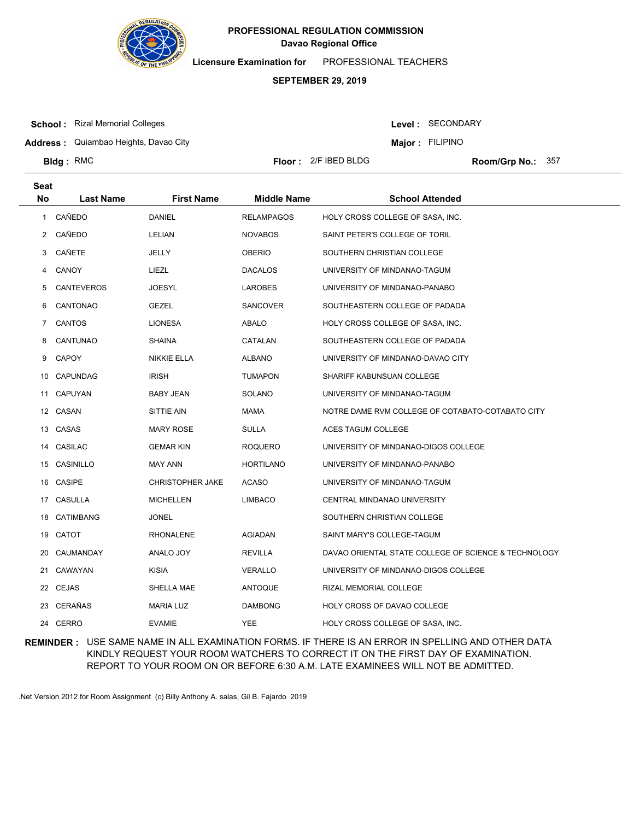

**Licensure Examination for**  PROFESSIONAL TEACHERS

#### **SEPTEMBER 29, 2019**

**Floor :** 2/F IBED BLDG

**School :** Rizal Memorial Colleges

Level : SECONDARY

**Major : FILIPINO** 

**Address :** Quiambao Heights, Davao City

Room/Grp No.: 357

**Last Name First Name Middle Name School Attended Seat No** 1 CAÑEDO DANIEL RELAMPAGOS HOLY CROSS COLLEGE OF SASA, INC. 2 CAÑEDO LELIAN NOVABOS SAINT PETER'S COLLEGE OF TORIL 3 CAÑETE JELLY OBERIO SOUTHERN CHRISTIAN COLLEGE 4 CANOY LIEZL LIEZL DACALOS UNIVERSITY OF MINDANAO-TAGUM 5 CANTEVEROS JOESYL LAROBES UNIVERSITY OF MINDANAO-PANABO 6 CANTONAO GEZEL SANCOVER SOUTHEASTERN COLLEGE OF PADADA 7 CANTOS LIONESA ABALO HOLY CROSS COLLEGE OF SASA, INC. 8 CANTUNAO SHAINA CATALAN SOUTHEASTERN COLLEGE OF PADADA 9 CAPOY **NIKKIE ELLA** ALBANO UNIVERSITY OF MINDANAO-DAVAO CITY 10 CAPUNDAG IRISH TUMAPON SHARIFF KABUNSUAN COLLEGE 11 CAPUYAN BABY JEAN SOLANO UNIVERSITY OF MINDANAO-TAGUM 12 CASAN SITTIE AIN MAMA NOTRE DAME RVM COLLEGE OF COTABATO-COTABATO CITY 13 CASAS **MARY ROSE** SULLA ACES TAGUM COLLEGE 14 CASILAC GEMAR KIN ROQUERO UNIVERSITY OF MINDANAO-DIGOS COLLEGE 15 CASINILLO MAY ANN HORTILANO UNIVERSITY OF MINDANAO-PANABO 16 CASIPE CHRISTOPHER JAKE ACASO UNIVERSITY OF MINDANAO-TAGUM 17 CASULLA MICHELLEN LIMBACO CENTRAL MINDANAO UNIVERSITY 18 CATIMBANG JONEL JONEL SOUTHERN CHRISTIAN COLLEGE 19 CATOT RHONALENE AGIADAN SAINT MARY'S COLLEGE-TAGUM 20 CAUMANDAY ANALO JOY REVILLA DAVAO ORIENTAL STATE COLLEGE OF SCIENCE & TECHNOLOGY 21 CAWAYAN KISIA VERALLO UNIVERSITY OF MINDANAO-DIGOS COLLEGE 22 CEJAS SHELLA MAE ANTOQUE RIZAL MEMORIAL COLLEGE 23 CERAÑAS MARIA LUZ DAMBONG HOLY CROSS OF DAVAO COLLEGE 24 CERRO EVAMIE THE YEE HOLY CROSS COLLEGE OF SASA, INC.

**REMINDER :** USE SAME NAME IN ALL EXAMINATION FORMS. IF THERE IS AN ERROR IN SPELLING AND OTHER DATA KINDLY REQUEST YOUR ROOM WATCHERS TO CORRECT IT ON THE FIRST DAY OF EXAMINATION. REPORT TO YOUR ROOM ON OR BEFORE 6:30 A.M. LATE EXAMINEES WILL NOT BE ADMITTED.

.Net Version 2012 for Room Assignment (c) Billy Anthony A. salas, Gil B. Fajardo 2019

# **Bldg**: RMC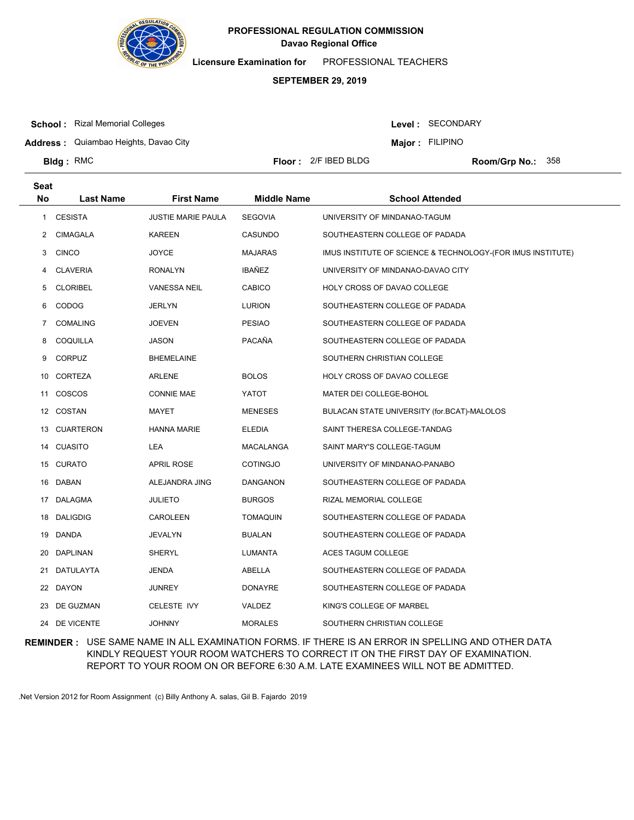

**Licensure Examination for**  PROFESSIONAL TEACHERS

## **SEPTEMBER 29, 2019**

**School :** Rizal Memorial Colleges

Level : SECONDARY

**Address :** Quiambao Heights, Davao City

**Major : FILIPINO** 

**Bldg**: RMC

**Floor :** 2/F IBED BLDG

Room/Grp No.: 358

| <b>Seat</b>  |                  |                           |                    |                                                             |
|--------------|------------------|---------------------------|--------------------|-------------------------------------------------------------|
| <b>No</b>    | <b>Last Name</b> | <b>First Name</b>         | <b>Middle Name</b> | <b>School Attended</b>                                      |
| $\mathbf{1}$ | <b>CESISTA</b>   | <b>JUSTIE MARIE PAULA</b> | <b>SEGOVIA</b>     | UNIVERSITY OF MINDANAO-TAGUM                                |
| 2            | <b>CIMAGALA</b>  | <b>KAREEN</b>             | CASUNDO            | SOUTHEASTERN COLLEGE OF PADADA                              |
| 3            | <b>CINCO</b>     | <b>JOYCE</b>              | <b>MAJARAS</b>     | IMUS INSTITUTE OF SCIENCE & TECHNOLOGY-(FOR IMUS INSTITUTE) |
| 4            | <b>CLAVERIA</b>  | <b>RONALYN</b>            | IBAÑEZ             | UNIVERSITY OF MINDANAO-DAVAO CITY                           |
| 5            | <b>CLORIBEL</b>  | <b>VANESSA NEIL</b>       | <b>CABICO</b>      | HOLY CROSS OF DAVAO COLLEGE                                 |
| 6            | <b>CODOG</b>     | <b>JERLYN</b>             | <b>LURION</b>      | SOUTHEASTERN COLLEGE OF PADADA                              |
| 7            | <b>COMALING</b>  | <b>JOEVEN</b>             | <b>PESIAO</b>      | SOUTHEASTERN COLLEGE OF PADADA                              |
| 8            | COQUILLA         | <b>JASON</b>              | PACAÑA             | SOUTHEASTERN COLLEGE OF PADADA                              |
| 9            | <b>CORPUZ</b>    | <b>BHEMELAINE</b>         |                    | SOUTHERN CHRISTIAN COLLEGE                                  |
| 10           | CORTEZA          | <b>ARLENE</b>             | <b>BOLOS</b>       | HOLY CROSS OF DAVAO COLLEGE                                 |
|              | 11 COSCOS        | <b>CONNIE MAE</b>         | YATOT              | MATER DEI COLLEGE-BOHOL                                     |
|              | 12 COSTAN        | MAYET                     | <b>MENESES</b>     | BULACAN STATE UNIVERSITY (for.BCAT)-MALOLOS                 |
|              | 13 CUARTERON     | <b>HANNA MARIE</b>        | <b>ELEDIA</b>      | SAINT THERESA COLLEGE-TANDAG                                |
|              | 14 CUASITO       | LEA                       | MACALANGA          | SAINT MARY'S COLLEGE-TAGUM                                  |
|              | 15 CURATO        | <b>APRIL ROSE</b>         | <b>COTINGJO</b>    | UNIVERSITY OF MINDANAO-PANABO                               |
| 16           | DABAN            | ALEJANDRA JING            | DANGANON           | SOUTHEASTERN COLLEGE OF PADADA                              |
|              | 17 DALAGMA       | <b>JULIETO</b>            | <b>BURGOS</b>      | RIZAL MEMORIAL COLLEGE                                      |
| 18           | <b>DALIGDIG</b>  | CAROLEEN                  | <b>TOMAQUIN</b>    | SOUTHEASTERN COLLEGE OF PADADA                              |
| 19           | DANDA            | <b>JEVALYN</b>            | BUALAN             | SOUTHEASTERN COLLEGE OF PADADA                              |
| 20           | DAPLINAN         | SHERYL                    | LUMANTA            | ACES TAGUM COLLEGE                                          |
| 21           | DATULAYTA        | <b>JENDA</b>              | ABELLA             | SOUTHEASTERN COLLEGE OF PADADA                              |
|              | 22 DAYON         | <b>JUNREY</b>             | <b>DONAYRE</b>     | SOUTHEASTERN COLLEGE OF PADADA                              |
| 23           | DE GUZMAN        | <b>CELESTE IVY</b>        | VALDEZ             | KING'S COLLEGE OF MARBEL                                    |
|              | 24 DE VICENTE    | <b>JOHNNY</b>             | <b>MORALES</b>     | SOUTHERN CHRISTIAN COLLEGE                                  |

**REMINDER :** USE SAME NAME IN ALL EXAMINATION FORMS. IF THERE IS AN ERROR IN SPELLING AND OTHER DATA KINDLY REQUEST YOUR ROOM WATCHERS TO CORRECT IT ON THE FIRST DAY OF EXAMINATION. REPORT TO YOUR ROOM ON OR BEFORE 6:30 A.M. LATE EXAMINEES WILL NOT BE ADMITTED.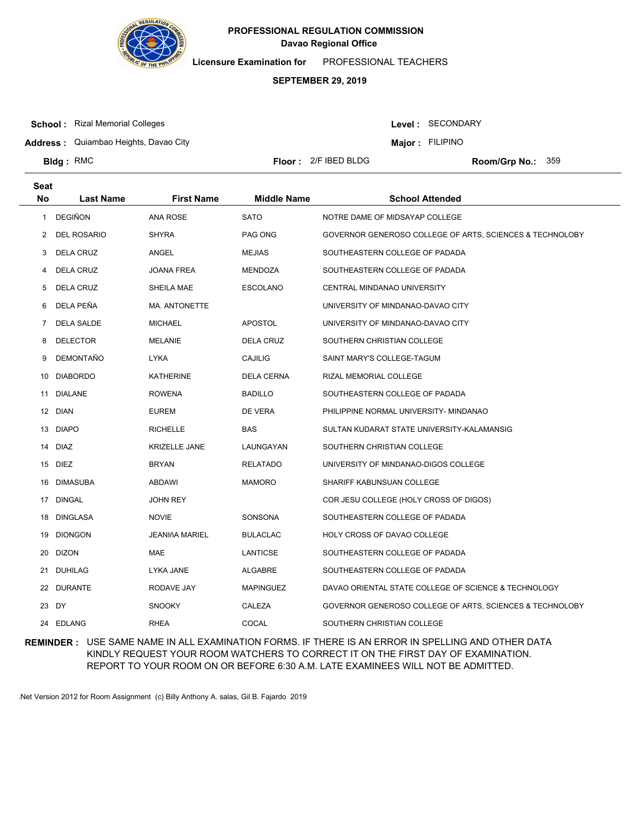

**Licensure Examination for**  PROFESSIONAL TEACHERS

## **SEPTEMBER 29, 2019**

**School :** Rizal Memorial Colleges

Level : SECONDARY

**Major : FILIPINO** 

**Address :** Quiambao Heights, Davao City

**Bldg**: RMC

**Seat**

**Floor :** 2/F IBED BLDG

Room/Grp No.: 359

| υσαι<br>No | <b>Last Name</b>   | <b>First Name</b>     | <b>Middle Name</b> | <b>School Attended</b>                                   |
|------------|--------------------|-----------------------|--------------------|----------------------------------------------------------|
| 1          | DEGIÑON            | ANA ROSE              | <b>SATO</b>        | NOTRE DAME OF MIDSAYAP COLLEGE                           |
| 2          | <b>DEL ROSARIO</b> | <b>SHYRA</b>          | PAG ONG            | GOVERNOR GENEROSO COLLEGE OF ARTS, SCIENCES & TECHNOLOBY |
| 3          | <b>DELA CRUZ</b>   | ANGEL                 | <b>MEJIAS</b>      | SOUTHEASTERN COLLEGE OF PADADA                           |
| 4          | <b>DELA CRUZ</b>   | <b>JOANA FREA</b>     | MENDOZA            | SOUTHEASTERN COLLEGE OF PADADA                           |
| 5          | DELA CRUZ          | SHEILA MAE            | <b>ESCOLANO</b>    | CENTRAL MINDANAO UNIVERSITY                              |
| 6          | DELA PEÑA          | MA. ANTONETTE         |                    | UNIVERSITY OF MINDANAO-DAVAO CITY                        |
| 7          | <b>DELA SALDE</b>  | <b>MICHAEL</b>        | <b>APOSTOL</b>     | UNIVERSITY OF MINDANAO-DAVAO CITY                        |
| 8          | <b>DELECTOR</b>    | MELANIE               | DELA CRUZ          | SOUTHERN CHRISTIAN COLLEGE                               |
| 9          | DEMONTAÑO          | <b>LYKA</b>           | <b>CAJILIG</b>     | SAINT MARY'S COLLEGE-TAGUM                               |
| 10         | <b>DIABORDO</b>    | <b>KATHERINE</b>      | DELA CERNA         | RIZAL MEMORIAL COLLEGE                                   |
|            | 11 DIALANE         | <b>ROWENA</b>         | <b>BADILLO</b>     | SOUTHEASTERN COLLEGE OF PADADA                           |
|            | 12 DIAN            | EUREM                 | DE VERA            | PHILIPPINE NORMAL UNIVERSITY- MINDANAO                   |
|            | 13 DIAPO           | <b>RICHELLE</b>       | BAS                | SULTAN KUDARAT STATE UNIVERSITY-KALAMANSIG               |
| 14         | DIAZ               | <b>KRIZELLE JANE</b>  | LAUNGAYAN          | SOUTHERN CHRISTIAN COLLEGE                               |
| 15         | DIEZ               | BRYAN                 | RELATADO           | UNIVERSITY OF MINDANAO-DIGOS COLLEGE                     |
| 16         | DIMASUBA           | ABDAWI                | <b>MAMORO</b>      | SHARIFF KABUNSUAN COLLEGE                                |
|            | 17 DINGAL          | <b>JOHN REY</b>       |                    | COR JESU COLLEGE (HOLY CROSS OF DIGOS)                   |
| 18         | DINGLASA           | <b>NOVIE</b>          | SONSONA            | SOUTHEASTERN COLLEGE OF PADADA                           |
| 19         | <b>DIONGON</b>     | <b>JEANIñA MARIEL</b> | <b>BULACLAC</b>    | HOLY CROSS OF DAVAO COLLEGE                              |
|            | 20 DIZON           | MAE                   | <b>LANTICSE</b>    | SOUTHEASTERN COLLEGE OF PADADA                           |
|            | 21 DUHILAG         | LYKA JANE             | ALGABRE            | SOUTHEASTERN COLLEGE OF PADADA                           |
|            | 22 DURANTE         | RODAVE JAY            | <b>MAPINGUEZ</b>   | DAVAO ORIENTAL STATE COLLEGE OF SCIENCE & TECHNOLOGY     |
|            | 23 DY              | <b>SNOOKY</b>         | CALEZA             | GOVERNOR GENEROSO COLLEGE OF ARTS, SCIENCES & TECHNOLOBY |
|            | 24 EDLANG          | <b>RHEA</b>           | COCAL              | SOUTHERN CHRISTIAN COLLEGE                               |

**REMINDER :** USE SAME NAME IN ALL EXAMINATION FORMS. IF THERE IS AN ERROR IN SPELLING AND OTHER DATA KINDLY REQUEST YOUR ROOM WATCHERS TO CORRECT IT ON THE FIRST DAY OF EXAMINATION. REPORT TO YOUR ROOM ON OR BEFORE 6:30 A.M. LATE EXAMINEES WILL NOT BE ADMITTED.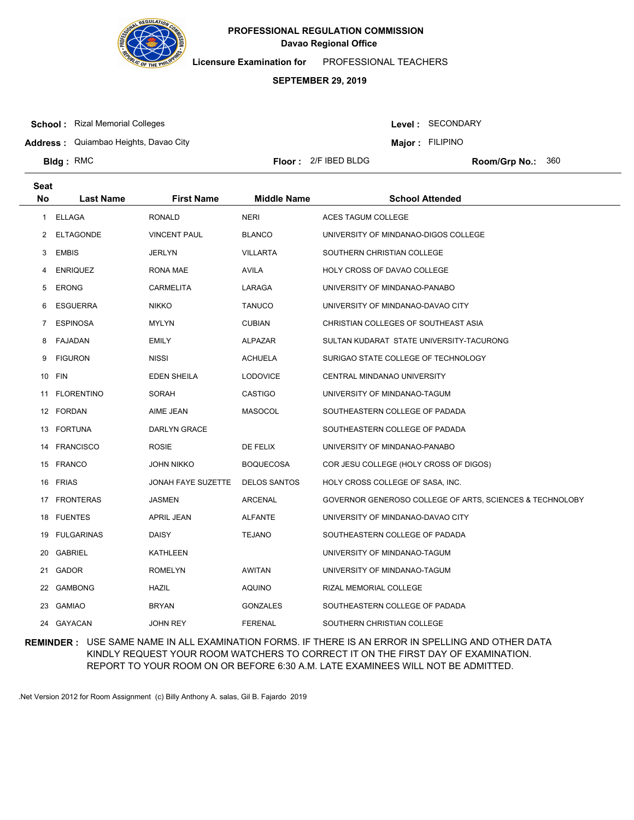

**Licensure Examination for**  PROFESSIONAL TEACHERS

## **SEPTEMBER 29, 2019**

**School :** Rizal Memorial Colleges

**Seat**

**Bldg**: RMC

Level : SECONDARY

**Major : FILIPINO** 

**Address :** Quiambao Heights, Davao City

**Floor :** 2/F IBED BLDG

Room/Grp No.: 360

| uc, |                  |                     |                     |                                                          |
|-----|------------------|---------------------|---------------------|----------------------------------------------------------|
| No. | <b>Last Name</b> | <b>First Name</b>   | <b>Middle Name</b>  | <b>School Attended</b>                                   |
| 1   | ELLAGA           | RONALD              | <b>NERI</b>         | ACES TAGUM COLLEGE                                       |
| 2   | <b>ELTAGONDE</b> | <b>VINCENT PAUL</b> | <b>BLANCO</b>       | UNIVERSITY OF MINDANAO-DIGOS COLLEGE                     |
| 3   | <b>EMBIS</b>     | JERLYN              | <b>VILLARTA</b>     | SOUTHERN CHRISTIAN COLLEGE                               |
| 4   | <b>ENRIQUEZ</b>  | RONA MAE            | AVILA               | HOLY CROSS OF DAVAO COLLEGE                              |
| 5   | <b>ERONG</b>     | <b>CARMELITA</b>    | LARAGA              | UNIVERSITY OF MINDANAO-PANABO                            |
| 6   | <b>ESGUERRA</b>  | <b>NIKKO</b>        | <b>TANUCO</b>       | UNIVERSITY OF MINDANAO-DAVAO CITY                        |
| 7   | <b>ESPINOSA</b>  | <b>MYLYN</b>        | <b>CUBIAN</b>       | CHRISTIAN COLLEGES OF SOUTHEAST ASIA                     |
| 8   | FAJADAN          | EMILY               | ALPAZAR             | SULTAN KUDARAT STATE UNIVERSITY-TACURONG                 |
| 9   | <b>FIGURON</b>   | <b>NISSI</b>        | <b>ACHUELA</b>      | SURIGAO STATE COLLEGE OF TECHNOLOGY                      |
|     | 10 FIN           | EDEN SHEILA         | <b>LODOVICE</b>     | CENTRAL MINDANAO UNIVERSITY                              |
|     | 11 FLORENTINO    | SORAH               | CASTIGO             | UNIVERSITY OF MINDANAO-TAGUM                             |
|     | 12 FORDAN        | AIME JEAN           | <b>MASOCOL</b>      | SOUTHEASTERN COLLEGE OF PADADA                           |
|     | 13 FORTUNA       | <b>DARLYN GRACE</b> |                     | SOUTHEASTERN COLLEGE OF PADADA                           |
| 14  | <b>FRANCISCO</b> | <b>ROSIE</b>        | DE FELIX            | UNIVERSITY OF MINDANAO-PANABO                            |
|     | 15 FRANCO        | JOHN NIKKO          | <b>BOQUECOSA</b>    | COR JESU COLLEGE (HOLY CROSS OF DIGOS)                   |
| 16  | FRIAS            | JONAH FAYE SUZETTE  | <b>DELOS SANTOS</b> | HOLY CROSS COLLEGE OF SASA, INC.                         |
|     | 17 FRONTERAS     | JASMEN              | ARCENAL             | GOVERNOR GENEROSO COLLEGE OF ARTS, SCIENCES & TECHNOLOBY |
| 18  | FUENTES          | APRIL JEAN          | <b>ALFANTE</b>      | UNIVERSITY OF MINDANAO-DAVAO CITY                        |
|     | 19 FULGARINAS    | DAISY               | <b>TEJANO</b>       | SOUTHEASTERN COLLEGE OF PADADA                           |
| 20  | GABRIEL          | KATHLEEN            |                     | UNIVERSITY OF MINDANAO-TAGUM                             |
| 21  | GADOR            | ROMELYN             | AWITAN              | UNIVERSITY OF MINDANAO-TAGUM                             |
|     | 22 GAMBONG       | HAZIL               | AQUINO              | RIZAL MEMORIAL COLLEGE                                   |
|     | 23 GAMIAO        | BRYAN               | <b>GONZALES</b>     | SOUTHEASTERN COLLEGE OF PADADA                           |
|     | 24 GAYACAN       | JOHN REY            | <b>FERENAL</b>      | SOUTHERN CHRISTIAN COLLEGE                               |

**REMINDER :** USE SAME NAME IN ALL EXAMINATION FORMS. IF THERE IS AN ERROR IN SPELLING AND OTHER DATA KINDLY REQUEST YOUR ROOM WATCHERS TO CORRECT IT ON THE FIRST DAY OF EXAMINATION. REPORT TO YOUR ROOM ON OR BEFORE 6:30 A.M. LATE EXAMINEES WILL NOT BE ADMITTED.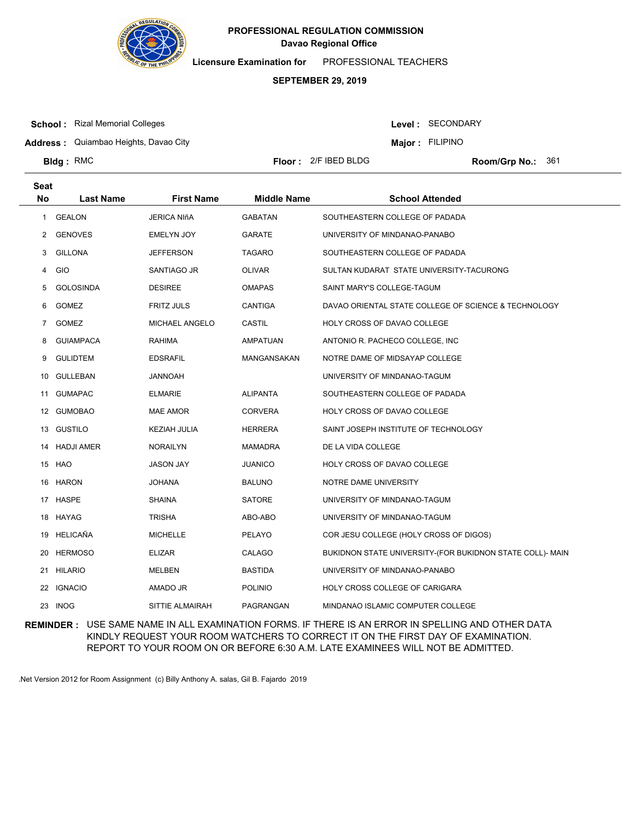

**Licensure Examination for**  PROFESSIONAL TEACHERS

#### **SEPTEMBER 29, 2019**

**School :** Rizal Memorial Colleges

**Bldg**: RMC

Level : SECONDARY

**Major : FILIPINO** 

**Address :** Quiambao Heights, Davao City

**Floor :** 2/F IBED BLDG

Room/Grp No.: 361

**Last Name First Name Middle Name School Attended Seat No** 1 GEALON JERICA NIñA GABATAN SOUTHEASTERN COLLEGE OF PADADA 2 GENOVES EMELYN JOY GARATE UNIVERSITY OF MINDANAO-PANABO 3 GILLONA JEFFERSON TAGARO SOUTHEASTERN COLLEGE OF PADADA 4 GIO SANTIAGO JR OLIVAR SULTAN KUDARAT STATE UNIVERSITY-TACURONG 5 GOLOSINDA DESIREE OMAPAS SAINT MARY'S COLLEGE-TAGUM 6 GOMEZ FRITZ JULS CANTIGA DAVAO ORIENTAL STATE COLLEGE OF SCIENCE & TECHNOLOGY 7 GOMEZ MICHAEL ANGELO CASTIL HOLY CROSS OF DAVAO COLLEGE 8 GUIAMPACA RAHIMA AMPATUAN ANTONIO R. PACHECO COLLEGE, INC 9 GULIDTEM EDSRAFIL MANGANSAKAN NOTRE DAME OF MIDSAYAP COLLEGE 10 GULLEBAN JANNOAH UNIVERSITY OF MINDANAO-TAGUM 11 GUMAPAC ELMARIE ALIPANTA SOUTHEASTERN COLLEGE OF PADADA 12 GUMOBAO MAE AMOR CORVERA HOLY CROSS OF DAVAO COLLEGE 13 GUSTILO **KEZIAH JULIA HERRERA** SAINT JOSEPH INSTITUTE OF TECHNOLOGY 14 HADJI AMER NORAILYN MAMADRA DE LA VIDA COLLEGE 15 HAO JASON JAY JUANICO HOLY CROSS OF DAVAO COLLEGE 16 HARON JOHANA BALUNO NOTRE DAME UNIVERSITY 17 HASPE SHAINA SATORE UNIVERSITY OF MINDANAO-TAGUM 18 HAYAG TRISHA TRISHA ABO-ABO UNIVERSITY OF MINDANAO-TAGUM 19 HELICAÑA MICHELLE PELAYO COR JESU COLLEGE (HOLY CROSS OF DIGOS) 20 HERMOSO ELIZAR CALAGO BUKIDNON STATE UNIVERSITY-(FOR BUKIDNON STATE COLL)- MAIN 21 HILARIO MELBEN BASTIDA UNIVERSITY OF MINDANAO-PANABO 22 IGNACIO AMADO JR POLINIO HOLY CROSS COLLEGE OF CARIGARA 23 INOG SITTIE ALMAIRAH PAGRANGAN MINDANAO ISLAMIC COMPUTER COLLEGE

**REMINDER :** USE SAME NAME IN ALL EXAMINATION FORMS. IF THERE IS AN ERROR IN SPELLING AND OTHER DATA KINDLY REQUEST YOUR ROOM WATCHERS TO CORRECT IT ON THE FIRST DAY OF EXAMINATION. REPORT TO YOUR ROOM ON OR BEFORE 6:30 A.M. LATE EXAMINEES WILL NOT BE ADMITTED.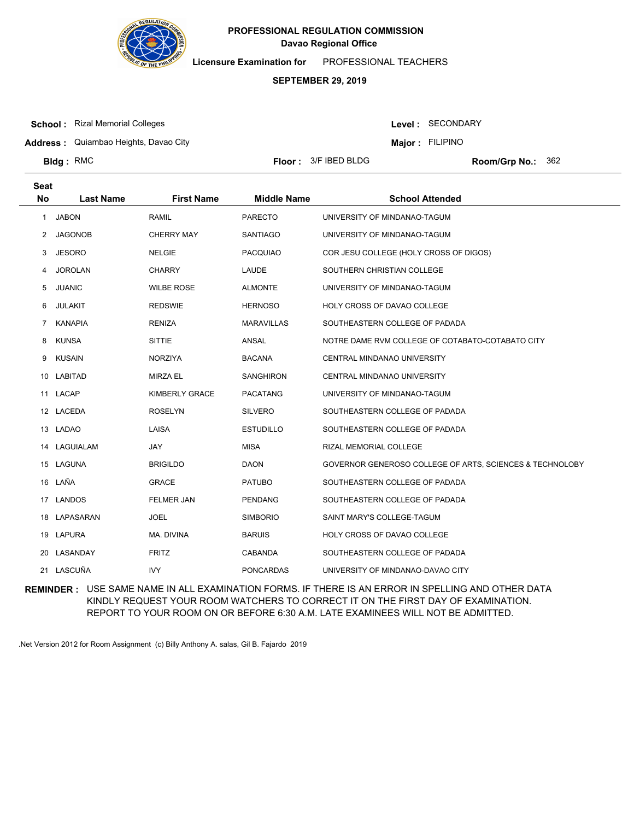

**Licensure Examination for**  PROFESSIONAL TEACHERS

## **SEPTEMBER 29, 2019**

**School :** Rizal Memorial Colleges

Level : SECONDARY

**Address :** Quiambao Heights, Davao City

**Major : FILIPINO** 

**Bldg**: RMC

**Floor : 3/F IBED BLDG** 

Room/Grp No.: 362

| <b>Seat</b><br><b>No</b> | <b>Last Name</b> | <b>First Name</b>     | <b>Middle Name</b> | <b>School Attended</b>                                   |
|--------------------------|------------------|-----------------------|--------------------|----------------------------------------------------------|
| $\mathbf{1}$             | <b>JABON</b>     | <b>RAMIL</b>          | <b>PARECTO</b>     | UNIVERSITY OF MINDANAO-TAGUM                             |
| 2                        | <b>JAGONOB</b>   | <b>CHERRY MAY</b>     | <b>SANTIAGO</b>    | UNIVERSITY OF MINDANAO-TAGUM                             |
| 3                        | <b>JESORO</b>    | <b>NELGIE</b>         | <b>PACQUIAO</b>    | COR JESU COLLEGE (HOLY CROSS OF DIGOS)                   |
| 4                        | <b>JOROLAN</b>   | <b>CHARRY</b>         | LAUDE              | SOUTHERN CHRISTIAN COLLEGE                               |
| 5                        | <b>JUANIC</b>    | <b>WILBE ROSE</b>     | <b>ALMONTE</b>     | UNIVERSITY OF MINDANAO-TAGUM                             |
| 6                        | <b>JULAKIT</b>   | <b>REDSWIE</b>        | <b>HERNOSO</b>     | HOLY CROSS OF DAVAO COLLEGE                              |
| 7                        | <b>KANAPIA</b>   | <b>RENIZA</b>         | <b>MARAVILLAS</b>  | SOUTHEASTERN COLLEGE OF PADADA                           |
| 8                        | <b>KUNSA</b>     | <b>SITTIE</b>         | ANSAL              | NOTRE DAME RVM COLLEGE OF COTABATO-COTABATO CITY         |
| 9                        | <b>KUSAIN</b>    | <b>NORZIYA</b>        | <b>BACANA</b>      | CENTRAL MINDANAO UNIVERSITY                              |
| 10                       | LABITAD          | <b>MIRZA EL</b>       | <b>SANGHIRON</b>   | CENTRAL MINDANAO UNIVERSITY                              |
|                          | 11 LACAP         | <b>KIMBERLY GRACE</b> | <b>PACATANG</b>    | UNIVERSITY OF MINDANAO-TAGUM                             |
|                          | 12 LACEDA        | <b>ROSELYN</b>        | <b>SILVERO</b>     | SOUTHEASTERN COLLEGE OF PADADA                           |
| 13                       | <b>LADAO</b>     | LAISA                 | <b>ESTUDILLO</b>   | SOUTHEASTERN COLLEGE OF PADADA                           |
| 14                       | LAGUIALAM        | <b>JAY</b>            | <b>MISA</b>        | RIZAL MEMORIAL COLLEGE                                   |
|                          | 15 LAGUNA        | <b>BRIGILDO</b>       | <b>DAON</b>        | GOVERNOR GENEROSO COLLEGE OF ARTS, SCIENCES & TECHNOLOBY |
| 16                       | LAÑA             | <b>GRACE</b>          | <b>PATUBO</b>      | SOUTHEASTERN COLLEGE OF PADADA                           |
| 17                       | <b>LANDOS</b>    | <b>FELMER JAN</b>     | <b>PENDANG</b>     | SOUTHEASTERN COLLEGE OF PADADA                           |
|                          | 18 LAPASARAN     | <b>JOEL</b>           | <b>SIMBORIO</b>    | SAINT MARY'S COLLEGE-TAGUM                               |
| 19                       | <b>LAPURA</b>    | MA. DIVINA            | <b>BARUIS</b>      | HOLY CROSS OF DAVAO COLLEGE                              |
| 20                       | LASANDAY         | <b>FRITZ</b>          | <b>CABANDA</b>     | SOUTHEASTERN COLLEGE OF PADADA                           |
|                          | 21 LASCUÑA       | <b>IVY</b>            | <b>PONCARDAS</b>   | UNIVERSITY OF MINDANAO-DAVAO CITY                        |

**REMINDER :** USE SAME NAME IN ALL EXAMINATION FORMS. IF THERE IS AN ERROR IN SPELLING AND OTHER DATA KINDLY REQUEST YOUR ROOM WATCHERS TO CORRECT IT ON THE FIRST DAY OF EXAMINATION. REPORT TO YOUR ROOM ON OR BEFORE 6:30 A.M. LATE EXAMINEES WILL NOT BE ADMITTED.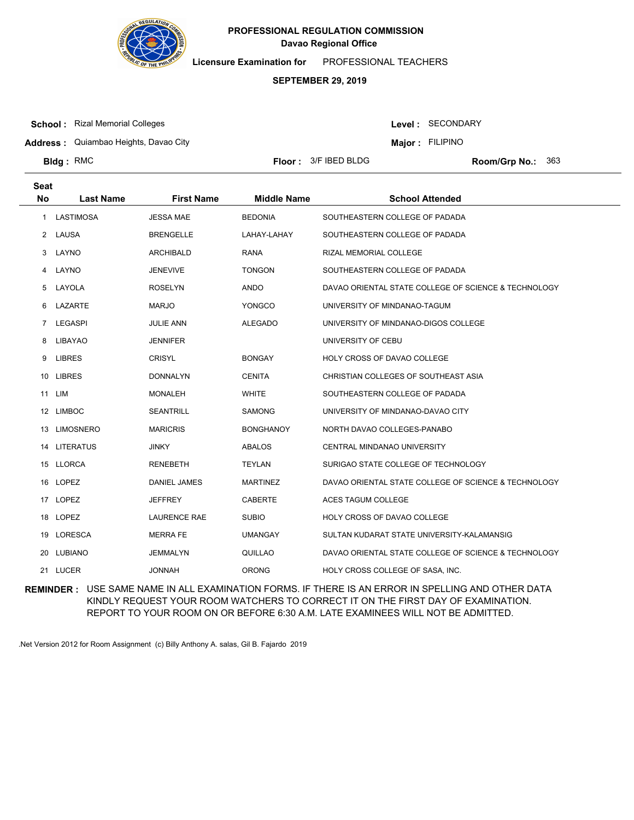

**Licensure Examination for**  PROFESSIONAL TEACHERS

## **SEPTEMBER 29, 2019**

**School :** Rizal Memorial Colleges

Level : SECONDARY

**Address :** Quiambao Heights, Davao City

**Major : FILIPINO** 

**Bldg**: RMC

**Seat**

**Floor : 3/F IBED BLDG** 

Room/Grp No.: 363

| υσαι      |                  |                     |                    |                                                      |
|-----------|------------------|---------------------|--------------------|------------------------------------------------------|
| <b>No</b> | <b>Last Name</b> | <b>First Name</b>   | <b>Middle Name</b> | <b>School Attended</b>                               |
| 1         | LASTIMOSA        | <b>JESSA MAE</b>    | <b>BEDONIA</b>     | SOUTHEASTERN COLLEGE OF PADADA                       |
|           | 2 LAUSA          | <b>BRENGELLE</b>    | LAHAY-LAHAY        | SOUTHEASTERN COLLEGE OF PADADA                       |
| 3         | LAYNO            | <b>ARCHIBALD</b>    | <b>RANA</b>        | RIZAL MEMORIAL COLLEGE                               |
|           | 4 LAYNO          | <b>JENEVIVE</b>     | <b>TONGON</b>      | SOUTHEASTERN COLLEGE OF PADADA                       |
| 5         | LAYOLA           | <b>ROSELYN</b>      | <b>ANDO</b>        | DAVAO ORIENTAL STATE COLLEGE OF SCIENCE & TECHNOLOGY |
| 6         | LAZARTE          | <b>MARJO</b>        | <b>YONGCO</b>      | UNIVERSITY OF MINDANAO-TAGUM                         |
|           | 7 LEGASPI        | <b>JULIE ANN</b>    | <b>ALEGADO</b>     | UNIVERSITY OF MINDANAO-DIGOS COLLEGE                 |
| 8         | LIBAYAO          | <b>JENNIFER</b>     |                    | UNIVERSITY OF CEBU                                   |
| 9         | <b>LIBRES</b>    | <b>CRISYL</b>       | <b>BONGAY</b>      | <b>HOLY CROSS OF DAVAO COLLEGE</b>                   |
|           | 10 LIBRES        | <b>DONNALYN</b>     | <b>CENITA</b>      | CHRISTIAN COLLEGES OF SOUTHEAST ASIA                 |
|           | 11 LIM           | <b>MONALEH</b>      | <b>WHITE</b>       | SOUTHEASTERN COLLEGE OF PADADA                       |
|           | 12 LIMBOC        | <b>SEANTRILL</b>    | <b>SAMONG</b>      | UNIVERSITY OF MINDANAO-DAVAO CITY                    |
| 13        | <b>LIMOSNERO</b> | <b>MARICRIS</b>     | <b>BONGHANOY</b>   | NORTH DAVAO COLLEGES-PANABO                          |
|           | 14 LITERATUS     | <b>JINKY</b>        | ABALOS             | <b>CENTRAL MINDANAO UNIVERSITY</b>                   |
|           | 15 LLORCA        | <b>RENEBETH</b>     | TEYLAN             | SURIGAO STATE COLLEGE OF TECHNOLOGY                  |
|           | 16 LOPEZ         | DANIEL JAMES        | <b>MARTINEZ</b>    | DAVAO ORIENTAL STATE COLLEGE OF SCIENCE & TECHNOLOGY |
|           | 17 LOPEZ         | <b>JEFFREY</b>      | <b>CABERTE</b>     | <b>ACES TAGUM COLLEGE</b>                            |
|           | 18 LOPEZ         | <b>LAURENCE RAE</b> | <b>SUBIO</b>       | HOLY CROSS OF DAVAO COLLEGE                          |
|           | 19 LORESCA       | <b>MERRA FE</b>     | <b>UMANGAY</b>     | SULTAN KUDARAT STATE UNIVERSITY-KALAMANSIG           |
|           | 20 LUBIANO       | <b>JEMMALYN</b>     | QUILLAO            | DAVAO ORIENTAL STATE COLLEGE OF SCIENCE & TECHNOLOGY |
|           | 21 LUCER         | <b>JONNAH</b>       | <b>ORONG</b>       | HOLY CROSS COLLEGE OF SASA, INC.                     |

**REMINDER :** USE SAME NAME IN ALL EXAMINATION FORMS. IF THERE IS AN ERROR IN SPELLING AND OTHER DATA KINDLY REQUEST YOUR ROOM WATCHERS TO CORRECT IT ON THE FIRST DAY OF EXAMINATION. REPORT TO YOUR ROOM ON OR BEFORE 6:30 A.M. LATE EXAMINEES WILL NOT BE ADMITTED.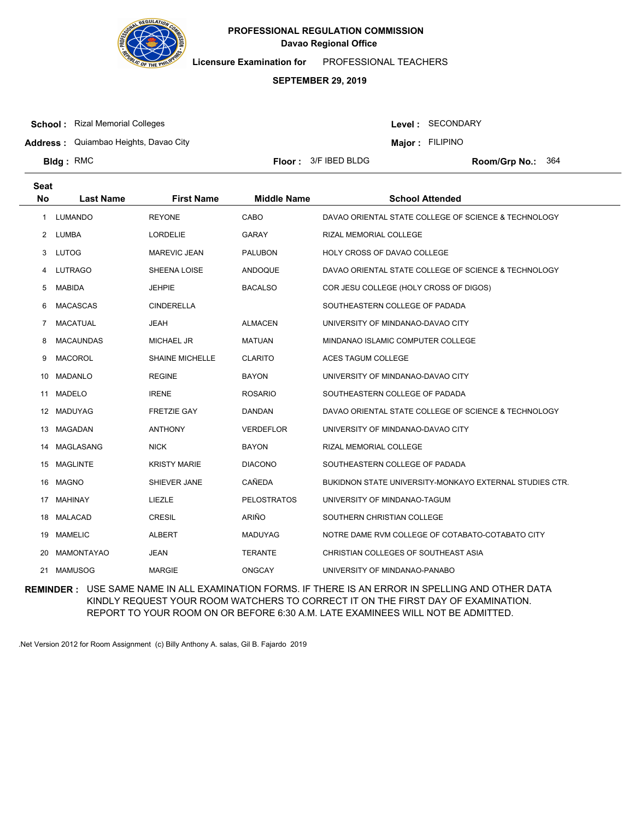

**Licensure Examination for**  PROFESSIONAL TEACHERS

## **SEPTEMBER 29, 2019**

**School :** Rizal Memorial Colleges

Level : SECONDARY

**Major : FILIPINO** 

**Address :** Quiambao Heights, Davao City

**Bldg**: RMC

**Floor : 3/F IBED BLDG** 

Room/Grp No.: 364

| <b>Seat</b><br><b>No</b> | <b>Last Name</b>  | <b>First Name</b>      | <b>Middle Name</b> | <b>School Attended</b>                                  |
|--------------------------|-------------------|------------------------|--------------------|---------------------------------------------------------|
| 1                        | <b>LUMANDO</b>    | <b>REYONE</b>          | CABO               | DAVAO ORIENTAL STATE COLLEGE OF SCIENCE & TECHNOLOGY    |
| 2                        | LUMBA             | <b>LORDELIE</b>        | <b>GARAY</b>       | RIZAL MEMORIAL COLLEGE                                  |
| 3                        | <b>LUTOG</b>      | <b>MAREVIC JEAN</b>    | <b>PALUBON</b>     | <b>HOLY CROSS OF DAVAO COLLEGE</b>                      |
| 4                        | <b>LUTRAGO</b>    | SHEENA LOISE           | ANDOQUE            | DAVAO ORIENTAL STATE COLLEGE OF SCIENCE & TECHNOLOGY    |
| 5                        | <b>MABIDA</b>     | <b>JEHPIE</b>          | <b>BACALSO</b>     | COR JESU COLLEGE (HOLY CROSS OF DIGOS)                  |
| 6                        | <b>MACASCAS</b>   | <b>CINDERELLA</b>      |                    | SOUTHEASTERN COLLEGE OF PADADA                          |
| 7                        | <b>MACATUAL</b>   | <b>JEAH</b>            | <b>ALMACEN</b>     | UNIVERSITY OF MINDANAO-DAVAO CITY                       |
| 8                        | <b>MACAUNDAS</b>  | <b>MICHAEL JR</b>      | <b>MATUAN</b>      | MINDANAO ISLAMIC COMPUTER COLLEGE                       |
| 9                        | <b>MACOROL</b>    | <b>SHAINE MICHELLE</b> | <b>CLARITO</b>     | ACES TAGUM COLLEGE                                      |
| 10                       | <b>MADANLO</b>    | <b>REGINE</b>          | <b>BAYON</b>       | UNIVERSITY OF MINDANAO-DAVAO CITY                       |
| 11                       | <b>MADELO</b>     | <b>IRENE</b>           | <b>ROSARIO</b>     | SOUTHEASTERN COLLEGE OF PADADA                          |
| 12                       | MADUYAG           | <b>FRETZIE GAY</b>     | DANDAN             | DAVAO ORIENTAL STATE COLLEGE OF SCIENCE & TECHNOLOGY    |
| 13                       | MAGADAN           | <b>ANTHONY</b>         | <b>VERDEFLOR</b>   | UNIVERSITY OF MINDANAO-DAVAO CITY                       |
| 14                       | <b>MAGLASANG</b>  | <b>NICK</b>            | <b>BAYON</b>       | RIZAL MEMORIAL COLLEGE                                  |
| 15                       | <b>MAGLINTE</b>   | <b>KRISTY MARIE</b>    | <b>DIACONO</b>     | SOUTHEASTERN COLLEGE OF PADADA                          |
| 16                       | MAGNO             | SHIEVER JANE           | <b>CAÑEDA</b>      | BUKIDNON STATE UNIVERSITY-MONKAYO EXTERNAL STUDIES CTR. |
| 17                       | <b>MAHINAY</b>    | LIEZLE                 | <b>PELOSTRATOS</b> | UNIVERSITY OF MINDANAO-TAGUM                            |
| 18                       | MALACAD           | <b>CRESIL</b>          | ARIÑO              | SOUTHERN CHRISTIAN COLLEGE                              |
| 19                       | <b>MAMELIC</b>    | <b>ALBERT</b>          | <b>MADUYAG</b>     | NOTRE DAME RVM COLLEGE OF COTABATO-COTABATO CITY        |
| 20                       | <b>MAMONTAYAO</b> | <b>JEAN</b>            | <b>TERANTE</b>     | CHRISTIAN COLLEGES OF SOUTHEAST ASIA                    |
| 21                       | <b>MAMUSOG</b>    | <b>MARGIE</b>          | <b>ONGCAY</b>      | UNIVERSITY OF MINDANAO-PANABO                           |

**REMINDER :** USE SAME NAME IN ALL EXAMINATION FORMS. IF THERE IS AN ERROR IN SPELLING AND OTHER DATA KINDLY REQUEST YOUR ROOM WATCHERS TO CORRECT IT ON THE FIRST DAY OF EXAMINATION. REPORT TO YOUR ROOM ON OR BEFORE 6:30 A.M. LATE EXAMINEES WILL NOT BE ADMITTED.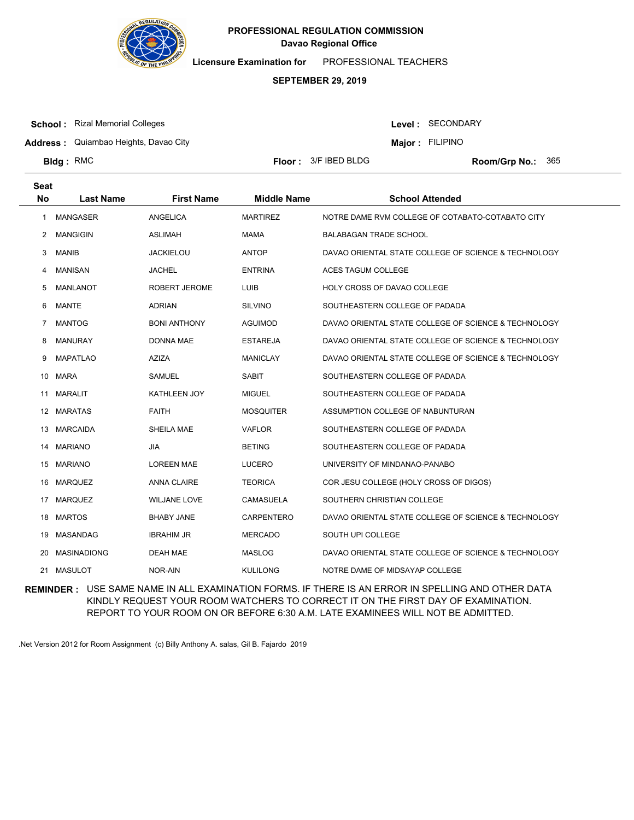

**Licensure Examination for**  PROFESSIONAL TEACHERS

## **SEPTEMBER 29, 2019**

**School :** Rizal Memorial Colleges

Level : SECONDARY

**Address :** Quiambao Heights, Davao City

**Major : FILIPINO** 

**Bldg**: RMC

**Floor : 3/F IBED BLDG** 

Room/Grp No.: 365

| <b>Seat</b> |                    |                      |                    |                                                      |
|-------------|--------------------|----------------------|--------------------|------------------------------------------------------|
| No          | <b>Last Name</b>   | <b>First Name</b>    | <b>Middle Name</b> | <b>School Attended</b>                               |
| -1          | <b>MANGASER</b>    | ANGELICA             | <b>MARTIREZ</b>    | NOTRE DAME RVM COLLEGE OF COTABATO-COTABATO CITY     |
| 2           | <b>MANGIGIN</b>    | <b>ASLIMAH</b>       | <b>MAMA</b>        | <b>BALABAGAN TRADE SCHOOL</b>                        |
| 3           | <b>MANIB</b>       | <b>JACKIELOU</b>     | <b>ANTOP</b>       | DAVAO ORIENTAL STATE COLLEGE OF SCIENCE & TECHNOLOGY |
| 4           | <b>MANISAN</b>     | <b>JACHEL</b>        | <b>ENTRINA</b>     | <b>ACES TAGUM COLLEGE</b>                            |
| 5           | <b>MANLANOT</b>    | <b>ROBERT JEROME</b> | LUIB               | <b>HOLY CROSS OF DAVAO COLLEGE</b>                   |
| 6           | <b>MANTE</b>       | <b>ADRIAN</b>        | <b>SILVINO</b>     | SOUTHEASTERN COLLEGE OF PADADA                       |
| 7           | <b>MANTOG</b>      | <b>BONI ANTHONY</b>  | <b>AGUIMOD</b>     | DAVAO ORIENTAL STATE COLLEGE OF SCIENCE & TECHNOLOGY |
| 8           | <b>MANURAY</b>     | <b>DONNA MAE</b>     | <b>ESTAREJA</b>    | DAVAO ORIENTAL STATE COLLEGE OF SCIENCE & TECHNOLOGY |
| 9           | <b>MAPATLAO</b>    | <b>AZIZA</b>         | <b>MANICLAY</b>    | DAVAO ORIENTAL STATE COLLEGE OF SCIENCE & TECHNOLOGY |
| 10          | <b>MARA</b>        | <b>SAMUEL</b>        | <b>SABIT</b>       | SOUTHEASTERN COLLEGE OF PADADA                       |
| 11          | <b>MARALIT</b>     | KATHLEEN JOY         | <b>MIGUEL</b>      | SOUTHEASTERN COLLEGE OF PADADA                       |
| 12          | <b>MARATAS</b>     | <b>FAITH</b>         | <b>MOSQUITER</b>   | ASSUMPTION COLLEGE OF NABUNTURAN                     |
| 13          | <b>MARCAIDA</b>    | SHEILA MAE           | <b>VAFLOR</b>      | SOUTHEASTERN COLLEGE OF PADADA                       |
| 14          | <b>MARIANO</b>     | <b>JIA</b>           | <b>BETING</b>      | SOUTHEASTERN COLLEGE OF PADADA                       |
| 15          | <b>MARIANO</b>     | <b>LOREEN MAE</b>    | <b>LUCERO</b>      | UNIVERSITY OF MINDANAO-PANABO                        |
| 16          | <b>MARQUEZ</b>     | <b>ANNA CLAIRE</b>   | <b>TEORICA</b>     | COR JESU COLLEGE (HOLY CROSS OF DIGOS)               |
| 17          | <b>MARQUEZ</b>     | <b>WILJANE LOVE</b>  | <b>CAMASUELA</b>   | SOUTHERN CHRISTIAN COLLEGE                           |
| 18          | <b>MARTOS</b>      | <b>BHABY JANE</b>    | <b>CARPENTERO</b>  | DAVAO ORIENTAL STATE COLLEGE OF SCIENCE & TECHNOLOGY |
| 19          | MASANDAG           | <b>IBRAHIM JR</b>    | <b>MERCADO</b>     | SOUTH UPI COLLEGE                                    |
| 20          | <b>MASINADIONG</b> | <b>DEAH MAE</b>      | <b>MASLOG</b>      | DAVAO ORIENTAL STATE COLLEGE OF SCIENCE & TECHNOLOGY |
| 21          | <b>MASULOT</b>     | NOR-AIN              | <b>KULILONG</b>    | NOTRE DAME OF MIDSAYAP COLLEGE                       |

**REMINDER :** USE SAME NAME IN ALL EXAMINATION FORMS. IF THERE IS AN ERROR IN SPELLING AND OTHER DATA KINDLY REQUEST YOUR ROOM WATCHERS TO CORRECT IT ON THE FIRST DAY OF EXAMINATION. REPORT TO YOUR ROOM ON OR BEFORE 6:30 A.M. LATE EXAMINEES WILL NOT BE ADMITTED.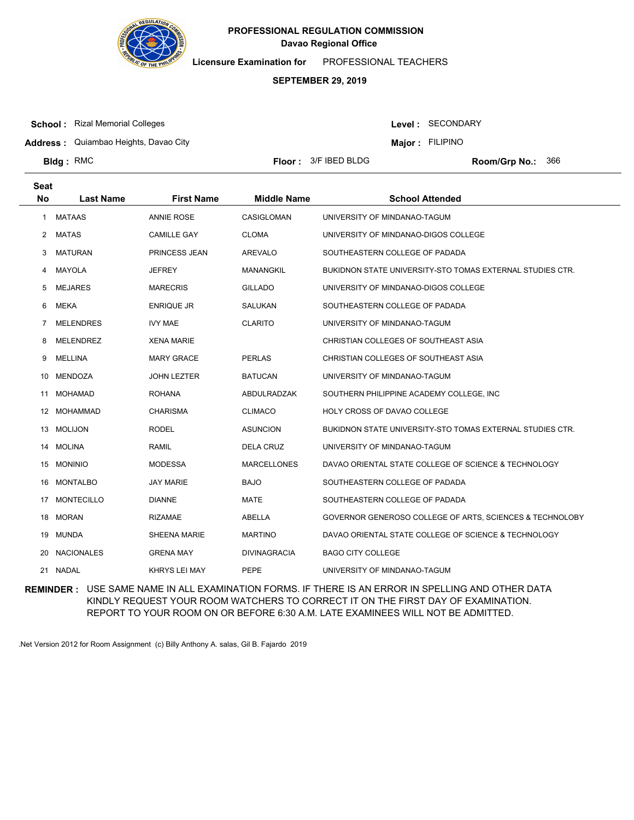

**Licensure Examination for**  PROFESSIONAL TEACHERS

## **SEPTEMBER 29, 2019**

**School :** Rizal Memorial Colleges

Level : SECONDARY

**Address :** Quiambao Heights, Davao City

**Major : FILIPINO** 

**Bldg**: RMC

**Floor : 3/F IBED BLDG** 

Room/Grp No.: 366

| <b>Seat</b><br><b>No</b> | <b>Last Name</b>  | <b>First Name</b>   | <b>Middle Name</b>  | <b>School Attended</b>                                    |
|--------------------------|-------------------|---------------------|---------------------|-----------------------------------------------------------|
| 1                        | MATAAS            | <b>ANNIE ROSE</b>   | <b>CASIGLOMAN</b>   | UNIVERSITY OF MINDANAO-TAGUM                              |
| 2                        | <b>MATAS</b>      | <b>CAMILLE GAY</b>  | <b>CLOMA</b>        | UNIVERSITY OF MINDANAO-DIGOS COLLEGE                      |
|                          |                   |                     |                     |                                                           |
| 3                        | <b>MATURAN</b>    | PRINCESS JEAN       | <b>AREVALO</b>      | SOUTHEASTERN COLLEGE OF PADADA                            |
| 4                        | <b>MAYOLA</b>     | <b>JEFREY</b>       | <b>MANANGKIL</b>    | BUKIDNON STATE UNIVERSITY-STO TOMAS EXTERNAL STUDIES CTR. |
| 5                        | <b>MEJARES</b>    | <b>MARECRIS</b>     | <b>GILLADO</b>      | UNIVERSITY OF MINDANAO-DIGOS COLLEGE                      |
| 6                        | <b>MEKA</b>       | <b>ENRIQUE JR</b>   | SALUKAN             | SOUTHEASTERN COLLEGE OF PADADA                            |
| 7                        | <b>MELENDRES</b>  | <b>IVY MAE</b>      | <b>CLARITO</b>      | UNIVERSITY OF MINDANAO-TAGUM                              |
| 8                        | <b>MELENDREZ</b>  | <b>XENA MARIE</b>   |                     | CHRISTIAN COLLEGES OF SOUTHEAST ASIA                      |
| 9                        | <b>MELLINA</b>    | <b>MARY GRACE</b>   | <b>PERLAS</b>       | CHRISTIAN COLLEGES OF SOUTHEAST ASIA                      |
| 10                       | MENDOZA           | <b>JOHN LEZTER</b>  | <b>BATUCAN</b>      | UNIVERSITY OF MINDANAO-TAGUM                              |
| 11                       | <b>MOHAMAD</b>    | <b>ROHANA</b>       | ABDULRADZAK         | SOUTHERN PHILIPPINE ACADEMY COLLEGE, INC                  |
| 12                       | <b>MOHAMMAD</b>   | <b>CHARISMA</b>     | <b>CLIMACO</b>      | <b>HOLY CROSS OF DAVAO COLLEGE</b>                        |
| 13                       | <b>MOLIJON</b>    | <b>RODEL</b>        | <b>ASUNCION</b>     | BUKIDNON STATE UNIVERSITY-STO TOMAS EXTERNAL STUDIES CTR. |
| 14                       | <b>MOLINA</b>     | <b>RAMIL</b>        | <b>DELA CRUZ</b>    | UNIVERSITY OF MINDANAO-TAGUM                              |
| 15                       | <b>MONINIO</b>    | <b>MODESSA</b>      | <b>MARCELLONES</b>  | DAVAO ORIENTAL STATE COLLEGE OF SCIENCE & TECHNOLOGY      |
| 16                       | <b>MONTALBO</b>   | <b>JAY MARIE</b>    | <b>BAJO</b>         | SOUTHEASTERN COLLEGE OF PADADA                            |
| 17                       | <b>MONTECILLO</b> | <b>DIANNE</b>       | <b>MATE</b>         | SOUTHEASTERN COLLEGE OF PADADA                            |
| 18                       | <b>MORAN</b>      | <b>RIZAMAE</b>      | ABELLA              | GOVERNOR GENEROSO COLLEGE OF ARTS, SCIENCES & TECHNOLOBY  |
| 19                       | <b>MUNDA</b>      | <b>SHEENA MARIE</b> | <b>MARTINO</b>      | DAVAO ORIENTAL STATE COLLEGE OF SCIENCE & TECHNOLOGY      |
| 20                       | <b>NACIONALES</b> | <b>GRENA MAY</b>    | <b>DIVINAGRACIA</b> | <b>BAGO CITY COLLEGE</b>                                  |
|                          | 21 NADAL          | KHRYS LEI MAY       | <b>PEPE</b>         | UNIVERSITY OF MINDANAO-TAGUM                              |

**REMINDER :** USE SAME NAME IN ALL EXAMINATION FORMS. IF THERE IS AN ERROR IN SPELLING AND OTHER DATA KINDLY REQUEST YOUR ROOM WATCHERS TO CORRECT IT ON THE FIRST DAY OF EXAMINATION. REPORT TO YOUR ROOM ON OR BEFORE 6:30 A.M. LATE EXAMINEES WILL NOT BE ADMITTED.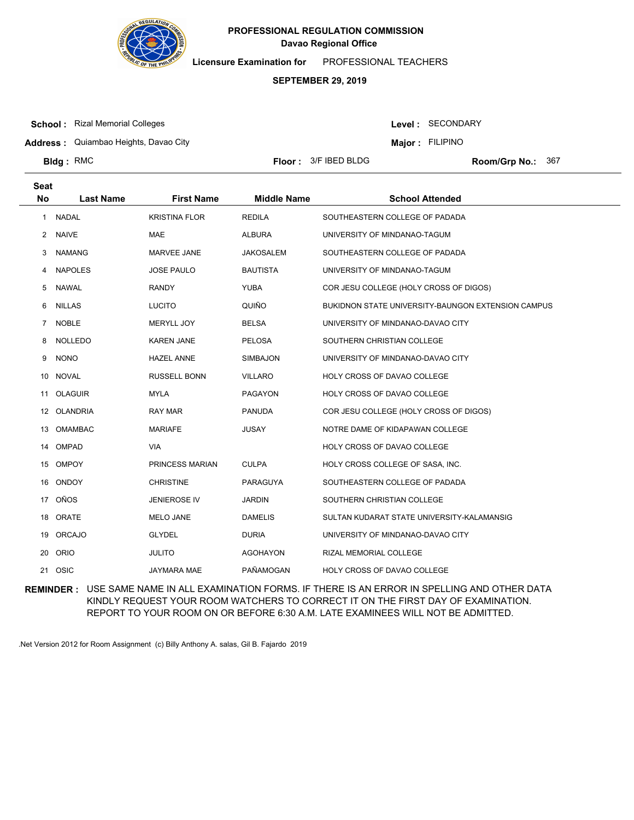

**Licensure Examination for**  PROFESSIONAL TEACHERS

## **SEPTEMBER 29, 2019**

**School :** Rizal Memorial Colleges

Level : SECONDARY

**Address :** Quiambao Heights, Davao City

**Major : FILIPINO** 

**Bldg**: RMC

**Floor : 3/F IBED BLDG** 

Room/Grp No.: 367

| <b>Seat</b><br><b>No</b> | <b>Last Name</b> | <b>First Name</b>    | <b>Middle Name</b> | <b>School Attended</b>                             |
|--------------------------|------------------|----------------------|--------------------|----------------------------------------------------|
|                          |                  |                      |                    |                                                    |
| 1                        | <b>NADAL</b>     | <b>KRISTINA FLOR</b> | <b>REDILA</b>      | SOUTHEASTERN COLLEGE OF PADADA                     |
| $\mathbf{2}$             | <b>NAIVE</b>     | <b>MAE</b>           | <b>ALBURA</b>      | UNIVERSITY OF MINDANAO-TAGUM                       |
| 3                        | <b>NAMANG</b>    | <b>MARVEE JANE</b>   | <b>JAKOSALEM</b>   | SOUTHEASTERN COLLEGE OF PADADA                     |
| 4                        | <b>NAPOLES</b>   | <b>JOSE PAULO</b>    | <b>BAUTISTA</b>    | UNIVERSITY OF MINDANAO-TAGUM                       |
| 5                        | <b>NAWAL</b>     | <b>RANDY</b>         | <b>YUBA</b>        | COR JESU COLLEGE (HOLY CROSS OF DIGOS)             |
| 6                        | <b>NILLAS</b>    | <b>LUCITO</b>        | QUIÑO              | BUKIDNON STATE UNIVERSITY-BAUNGON EXTENSION CAMPUS |
| 7                        | <b>NOBLE</b>     | MERYLL JOY           | <b>BELSA</b>       | UNIVERSITY OF MINDANAO-DAVAO CITY                  |
| 8                        | <b>NOLLEDO</b>   | <b>KAREN JANE</b>    | <b>PELOSA</b>      | SOUTHERN CHRISTIAN COLLEGE                         |
| 9                        | <b>NONO</b>      | <b>HAZEL ANNE</b>    | SIMBAJON           | UNIVERSITY OF MINDANAO-DAVAO CITY                  |
| 10                       | <b>NOVAL</b>     | RUSSELL BONN         | <b>VILLARO</b>     | HOLY CROSS OF DAVAO COLLEGE                        |
|                          | 11 OLAGUIR       | <b>MYLA</b>          | PAGAYON            | HOLY CROSS OF DAVAO COLLEGE                        |
| 12                       | OLANDRIA         | <b>RAY MAR</b>       | <b>PANUDA</b>      | COR JESU COLLEGE (HOLY CROSS OF DIGOS)             |
| 13                       | <b>OMAMBAC</b>   | <b>MARIAFE</b>       | <b>JUSAY</b>       | NOTRE DAME OF KIDAPAWAN COLLEGE                    |
| 14                       | OMPAD            | <b>VIA</b>           |                    | HOLY CROSS OF DAVAO COLLEGE                        |
| 15                       | <b>OMPOY</b>     | PRINCESS MARIAN      | <b>CULPA</b>       | HOLY CROSS COLLEGE OF SASA, INC.                   |
| 16                       | ONDOY            | <b>CHRISTINE</b>     | PARAGUYA           | SOUTHEASTERN COLLEGE OF PADADA                     |
| 17                       | OÑOS             | <b>JENIEROSE IV</b>  | <b>JARDIN</b>      | SOUTHERN CHRISTIAN COLLEGE                         |
| 18                       | ORATE            | <b>MELO JANE</b>     | <b>DAMELIS</b>     | SULTAN KUDARAT STATE UNIVERSITY-KALAMANSIG         |
| 19                       | ORCAJO           | <b>GLYDEL</b>        | <b>DURIA</b>       | UNIVERSITY OF MINDANAO-DAVAO CITY                  |
| 20                       | ORIO             | <b>JULITO</b>        | <b>AGOHAYON</b>    | RIZAL MEMORIAL COLLEGE                             |
| 21                       | OSIC             | JAYMARA MAE          | PAÑAMOGAN          | HOLY CROSS OF DAVAO COLLEGE                        |

**REMINDER :** USE SAME NAME IN ALL EXAMINATION FORMS. IF THERE IS AN ERROR IN SPELLING AND OTHER DATA KINDLY REQUEST YOUR ROOM WATCHERS TO CORRECT IT ON THE FIRST DAY OF EXAMINATION. REPORT TO YOUR ROOM ON OR BEFORE 6:30 A.M. LATE EXAMINEES WILL NOT BE ADMITTED.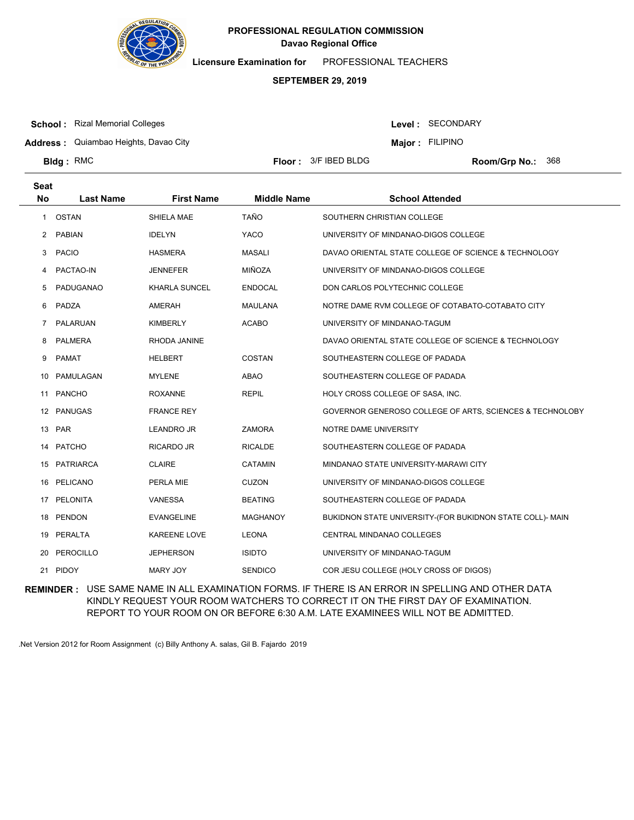

**Licensure Examination for**  PROFESSIONAL TEACHERS

## **SEPTEMBER 29, 2019**

**School :** Rizal Memorial Colleges

Level : SECONDARY

**Major : FILIPINO** 

**Address :** Quiambao Heights, Davao City

**Bldg**: RMC

**Floor : 3/F IBED BLDG** 

Room/Grp No.: 368

| Seat<br><b>No</b> | <b>Last Name</b> | <b>First Name</b>    | <b>Middle Name</b> | <b>School Attended</b>                                    |
|-------------------|------------------|----------------------|--------------------|-----------------------------------------------------------|
|                   |                  |                      |                    |                                                           |
| $\mathbf{1}$      | OSTAN            | SHIELA MAE           | <b>TAÑO</b>        | SOUTHERN CHRISTIAN COLLEGE                                |
| 2                 | <b>PABIAN</b>    | <b>IDELYN</b>        | <b>YACO</b>        | UNIVERSITY OF MINDANAO-DIGOS COLLEGE                      |
| 3                 | <b>PACIO</b>     | <b>HASMERA</b>       | <b>MASALI</b>      | DAVAO ORIENTAL STATE COLLEGE OF SCIENCE & TECHNOLOGY      |
| 4                 | PACTAO-IN        | <b>JENNEFER</b>      | MIÑOZA             | UNIVERSITY OF MINDANAO-DIGOS COLLEGE                      |
| 5                 | PADUGANAO        | <b>KHARLA SUNCEL</b> | <b>ENDOCAL</b>     | DON CARLOS POLYTECHNIC COLLEGE                            |
| 6                 | PADZA            | AMERAH               | <b>MAULANA</b>     | NOTRE DAME RVM COLLEGE OF COTABATO-COTABATO CITY          |
| $\overline{7}$    | PALARUAN         | <b>KIMBERLY</b>      | <b>ACABO</b>       | UNIVERSITY OF MINDANAO-TAGUM                              |
| 8                 | <b>PALMERA</b>   | RHODA JANINE         |                    | DAVAO ORIENTAL STATE COLLEGE OF SCIENCE & TECHNOLOGY      |
| 9                 | <b>PAMAT</b>     | <b>HELBERT</b>       | <b>COSTAN</b>      | SOUTHEASTERN COLLEGE OF PADADA                            |
| 10                | PAMULAGAN        | <b>MYLENE</b>        | <b>ABAO</b>        | SOUTHEASTERN COLLEGE OF PADADA                            |
|                   | 11 PANCHO        | <b>ROXANNE</b>       | <b>REPIL</b>       | HOLY CROSS COLLEGE OF SASA, INC.                          |
| 12                | <b>PANUGAS</b>   | <b>FRANCE REY</b>    |                    | GOVERNOR GENEROSO COLLEGE OF ARTS, SCIENCES & TECHNOLOBY  |
|                   | 13 PAR           | <b>LEANDRO JR</b>    | <b>ZAMORA</b>      | NOTRE DAME UNIVERSITY                                     |
|                   | 14 PATCHO        | RICARDO JR           | <b>RICALDE</b>     | SOUTHEASTERN COLLEGE OF PADADA                            |
| 15                | <b>PATRIARCA</b> | <b>CLAIRE</b>        | <b>CATAMIN</b>     | MINDANAO STATE UNIVERSITY-MARAWI CITY                     |
| 16                | PELICANO         | PERLA MIE            | <b>CUZON</b>       | UNIVERSITY OF MINDANAO-DIGOS COLLEGE                      |
|                   | 17 PELONITA      | <b>VANESSA</b>       | <b>BEATING</b>     | SOUTHEASTERN COLLEGE OF PADADA                            |
| 18                | <b>PENDON</b>    | <b>EVANGELINE</b>    | <b>MAGHANOY</b>    | BUKIDNON STATE UNIVERSITY-(FOR BUKIDNON STATE COLL)- MAIN |
| 19                | PERALTA          | <b>KAREENE LOVE</b>  | <b>LEONA</b>       | CENTRAL MINDANAO COLLEGES                                 |
|                   | 20 PEROCILLO     | <b>JEPHERSON</b>     | <b>ISIDTO</b>      | UNIVERSITY OF MINDANAO-TAGUM                              |
|                   | 21 PIDOY         | <b>MARY JOY</b>      | <b>SENDICO</b>     | COR JESU COLLEGE (HOLY CROSS OF DIGOS)                    |

**REMINDER :** USE SAME NAME IN ALL EXAMINATION FORMS. IF THERE IS AN ERROR IN SPELLING AND OTHER DATA KINDLY REQUEST YOUR ROOM WATCHERS TO CORRECT IT ON THE FIRST DAY OF EXAMINATION. REPORT TO YOUR ROOM ON OR BEFORE 6:30 A.M. LATE EXAMINEES WILL NOT BE ADMITTED.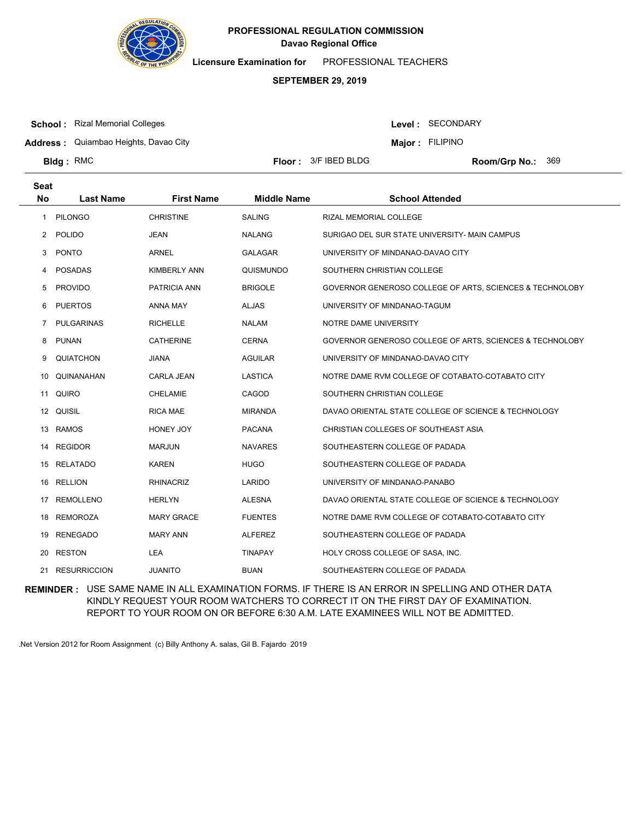

**Licensure Examination for**  PROFESSIONAL TEACHERS

## **SEPTEMBER 29, 2019**

**School :** Rizal Memorial Colleges

Level : SECONDARY

**Major : FILIPINO** 

**Address :** Quiambao Heights, Davao City

**Bldg**: RMC

**Seat**

**Floor : 3/F IBED BLDG** 

Room/Grp No.: 369

| συαι      |                   |                     |                    |                                                          |
|-----------|-------------------|---------------------|--------------------|----------------------------------------------------------|
| <b>No</b> | <b>Last Name</b>  | <b>First Name</b>   | <b>Middle Name</b> | <b>School Attended</b>                                   |
| 1         | <b>PILONGO</b>    | <b>CHRISTINE</b>    | <b>SALING</b>      | RIZAL MEMORIAL COLLEGE                                   |
|           | 2 POLIDO          | <b>JEAN</b>         | <b>NALANG</b>      | SURIGAO DEL SUR STATE UNIVERSITY- MAIN CAMPUS            |
| 3         | <b>PONTO</b>      | <b>ARNEL</b>        | <b>GALAGAR</b>     | UNIVERSITY OF MINDANAO-DAVAO CITY                        |
| 4         | POSADAS           | <b>KIMBERLY ANN</b> | QUISMUNDO          | SOUTHERN CHRISTIAN COLLEGE                               |
| 5         | <b>PROVIDO</b>    | <b>PATRICIA ANN</b> | <b>BRIGOLE</b>     | GOVERNOR GENEROSO COLLEGE OF ARTS, SCIENCES & TECHNOLOBY |
| 6         | <b>PUERTOS</b>    | <b>ANNA MAY</b>     | <b>ALJAS</b>       | UNIVERSITY OF MINDANAO-TAGUM                             |
| 7         | <b>PULGARINAS</b> | <b>RICHELLE</b>     | <b>NALAM</b>       | NOTRE DAME UNIVERSITY                                    |
| 8         | PUNAN             | <b>CATHERINE</b>    | <b>CERNA</b>       | GOVERNOR GENEROSO COLLEGE OF ARTS, SCIENCES & TECHNOLOBY |
| 9         | <b>QUIATCHON</b>  | <b>JIANA</b>        | <b>AGUILAR</b>     | UNIVERSITY OF MINDANAO-DAVAO CITY                        |
| 10        | QUINANAHAN        | <b>CARLA JEAN</b>   | <b>LASTICA</b>     | NOTRE DAME RVM COLLEGE OF COTABATO-COTABATO CITY         |
| 11        | QUIRO             | <b>CHELAMIE</b>     | CAGOD              | SOUTHERN CHRISTIAN COLLEGE                               |
|           | 12 QUISIL         | <b>RICA MAE</b>     | <b>MIRANDA</b>     | DAVAO ORIENTAL STATE COLLEGE OF SCIENCE & TECHNOLOGY     |
|           | 13 RAMOS          | HONEY JOY           | <b>PACANA</b>      | CHRISTIAN COLLEGES OF SOUTHEAST ASIA                     |
| 14        | <b>REGIDOR</b>    | <b>MARJUN</b>       | <b>NAVARES</b>     | SOUTHEASTERN COLLEGE OF PADADA                           |
| 15        | RELATADO          | <b>KAREN</b>        | <b>HUGO</b>        | SOUTHEASTERN COLLEGE OF PADADA                           |
|           | 16 RELLION        | <b>RHINACRIZ</b>    | LARIDO             | UNIVERSITY OF MINDANAO-PANABO                            |
| 17        | <b>REMOLLENO</b>  | <b>HERLYN</b>       | <b>ALESNA</b>      | DAVAO ORIENTAL STATE COLLEGE OF SCIENCE & TECHNOLOGY     |
|           | 18 REMOROZA       | <b>MARY GRACE</b>   | <b>FUENTES</b>     | NOTRE DAME RVM COLLEGE OF COTABATO-COTABATO CITY         |
| 19        | <b>RENEGADO</b>   | <b>MARY ANN</b>     | <b>ALFEREZ</b>     | SOUTHEASTERN COLLEGE OF PADADA                           |
| 20        | <b>RESTON</b>     | <b>LEA</b>          | <b>TINAPAY</b>     | HOLY CROSS COLLEGE OF SASA, INC.                         |
|           | 21 RESURRICCION   | <b>JUANITO</b>      | <b>BUAN</b>        | SOUTHEASTERN COLLEGE OF PADADA                           |

**REMINDER :** USE SAME NAME IN ALL EXAMINATION FORMS. IF THERE IS AN ERROR IN SPELLING AND OTHER DATA KINDLY REQUEST YOUR ROOM WATCHERS TO CORRECT IT ON THE FIRST DAY OF EXAMINATION. REPORT TO YOUR ROOM ON OR BEFORE 6:30 A.M. LATE EXAMINEES WILL NOT BE ADMITTED.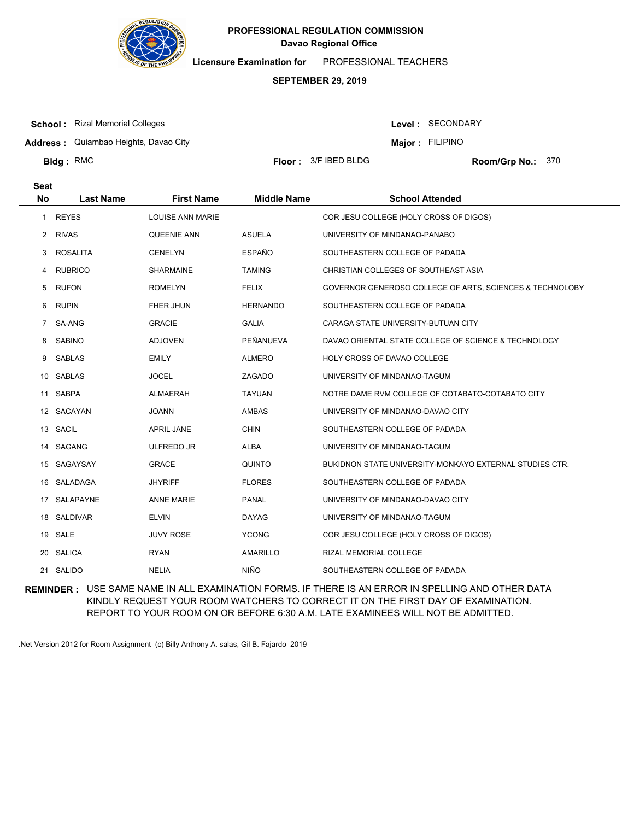

**Licensure Examination for**  PROFESSIONAL TEACHERS

## **SEPTEMBER 29, 2019**

**School :** Rizal Memorial Colleges

Level : SECONDARY

**Address :** Quiambao Heights, Davao City

**Major : FILIPINO** 

**Bldg**: RMC

**Floor : 3/F IBED BLDG** 

Room/Grp No.: 370

| <b>Seat</b><br><b>No</b> | <b>Last Name</b> | <b>First Name</b>       | <b>Middle Name</b> | <b>School Attended</b>                                   |
|--------------------------|------------------|-------------------------|--------------------|----------------------------------------------------------|
|                          |                  |                         |                    |                                                          |
| $\mathbf{1}$             | <b>REYES</b>     | <b>LOUISE ANN MARIE</b> |                    | COR JESU COLLEGE (HOLY CROSS OF DIGOS)                   |
| 2                        | <b>RIVAS</b>     | QUEENIE ANN             | <b>ASUELA</b>      | UNIVERSITY OF MINDANAO-PANABO                            |
| 3                        | <b>ROSALITA</b>  | <b>GENELYN</b>          | <b>ESPAÑO</b>      | SOUTHEASTERN COLLEGE OF PADADA                           |
| 4                        | <b>RUBRICO</b>   | <b>SHARMAINE</b>        | <b>TAMING</b>      | CHRISTIAN COLLEGES OF SOUTHEAST ASIA                     |
| 5                        | <b>RUFON</b>     | <b>ROMELYN</b>          | <b>FELIX</b>       | GOVERNOR GENEROSO COLLEGE OF ARTS, SCIENCES & TECHNOLOBY |
| 6                        | <b>RUPIN</b>     | <b>FHER JHUN</b>        | <b>HERNANDO</b>    | SOUTHEASTERN COLLEGE OF PADADA                           |
| $\overline{7}$           | SA-ANG           | <b>GRACIE</b>           | <b>GALIA</b>       | CARAGA STATE UNIVERSITY-BUTUAN CITY                      |
| 8                        | <b>SABINO</b>    | <b>ADJOVEN</b>          | PEÑANUEVA          | DAVAO ORIENTAL STATE COLLEGE OF SCIENCE & TECHNOLOGY     |
| 9                        | <b>SABLAS</b>    | <b>EMILY</b>            | <b>ALMERO</b>      | <b>HOLY CROSS OF DAVAO COLLEGE</b>                       |
| 10                       | <b>SABLAS</b>    | <b>JOCEL</b>            | ZAGADO             | UNIVERSITY OF MINDANAO-TAGUM                             |
|                          | 11 SABPA         | <b>ALMAERAH</b>         | <b>TAYUAN</b>      | NOTRE DAME RVM COLLEGE OF COTABATO-COTABATO CITY         |
|                          | 12 SACAYAN       | <b>JOANN</b>            | <b>AMBAS</b>       | UNIVERSITY OF MINDANAO-DAVAO CITY                        |
| 13                       | SACIL            | <b>APRIL JANE</b>       | <b>CHIN</b>        | SOUTHEASTERN COLLEGE OF PADADA                           |
|                          | 14 SAGANG        | <b>ULFREDO JR</b>       | <b>ALBA</b>        | UNIVERSITY OF MINDANAO-TAGUM                             |
| 15                       | SAGAYSAY         | <b>GRACE</b>            | QUINTO             | BUKIDNON STATE UNIVERSITY-MONKAYO EXTERNAL STUDIES CTR.  |
| 16                       | SALADAGA         | <b>JHYRIFF</b>          | <b>FLORES</b>      | SOUTHEASTERN COLLEGE OF PADADA                           |
| 17                       | SALAPAYNE        | <b>ANNE MARIE</b>       | <b>PANAL</b>       | UNIVERSITY OF MINDANAO-DAVAO CITY                        |
|                          | 18 SALDIVAR      | <b>ELVIN</b>            | <b>DAYAG</b>       | UNIVERSITY OF MINDANAO-TAGUM                             |
| 19                       | SALE             | JUVY ROSE               | <b>YCONG</b>       | COR JESU COLLEGE (HOLY CROSS OF DIGOS)                   |
| 20                       | <b>SALICA</b>    | <b>RYAN</b>             | <b>AMARILLO</b>    | RIZAL MEMORIAL COLLEGE                                   |
|                          | 21 SALIDO        | <b>NELIA</b>            | <b>NIÑO</b>        | SOUTHEASTERN COLLEGE OF PADADA                           |

**REMINDER :** USE SAME NAME IN ALL EXAMINATION FORMS. IF THERE IS AN ERROR IN SPELLING AND OTHER DATA KINDLY REQUEST YOUR ROOM WATCHERS TO CORRECT IT ON THE FIRST DAY OF EXAMINATION. REPORT TO YOUR ROOM ON OR BEFORE 6:30 A.M. LATE EXAMINEES WILL NOT BE ADMITTED.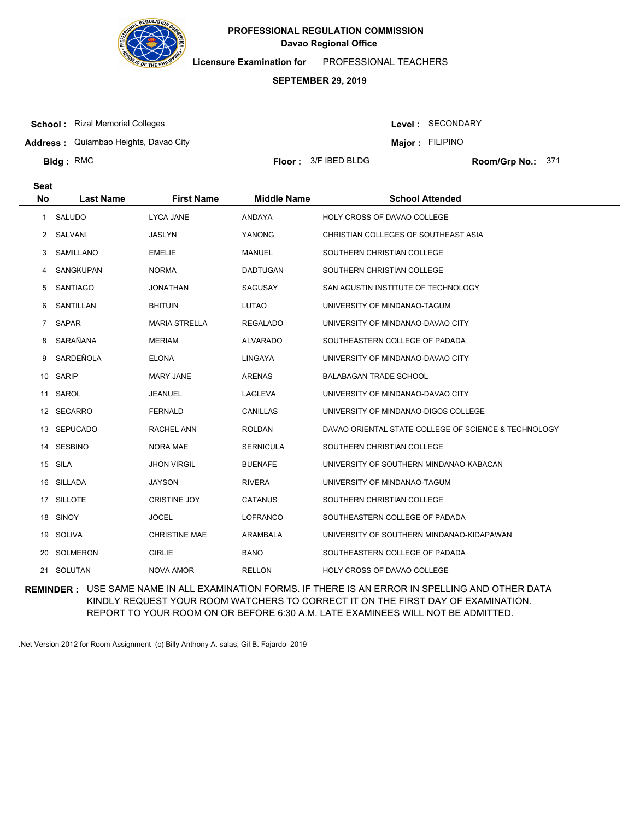

**Licensure Examination for**  PROFESSIONAL TEACHERS

## **SEPTEMBER 29, 2019**

**School :** Rizal Memorial Colleges

Level : SECONDARY

**Address :** Quiambao Heights, Davao City

**Major : FILIPINO** 

**Bldg**: RMC

**Seat**

**Floor : 3/F IBED BLDG** 

Room/Grp No.: 371

| υσαι           |                  |                      |                    |                                                      |
|----------------|------------------|----------------------|--------------------|------------------------------------------------------|
| No             | <b>Last Name</b> | <b>First Name</b>    | <b>Middle Name</b> | <b>School Attended</b>                               |
| $\mathbf{1}$   | SALUDO           | <b>LYCA JANE</b>     | ANDAYA             | <b>HOLY CROSS OF DAVAO COLLEGE</b>                   |
| 2              | SALVANI          | JASLYN               | YANONG             | CHRISTIAN COLLEGES OF SOUTHEAST ASIA                 |
| 3              | SAMILLANO        | <b>EMELIE</b>        | <b>MANUEL</b>      | SOUTHERN CHRISTIAN COLLEGE                           |
| 4              | SANGKUPAN        | <b>NORMA</b>         | <b>DADTUGAN</b>    | SOUTHERN CHRISTIAN COLLEGE                           |
| 5              | SANTIAGO         | <b>JONATHAN</b>      | <b>SAGUSAY</b>     | SAN AGUSTIN INSTITUTE OF TECHNOLOGY                  |
| 6              | SANTILLAN        | <b>BHITUIN</b>       | LUTAO              | UNIVERSITY OF MINDANAO-TAGUM                         |
| $\overline{7}$ | SAPAR            | <b>MARIA STRELLA</b> | <b>REGALADO</b>    | UNIVERSITY OF MINDANAO-DAVAO CITY                    |
| 8              | SARAÑANA         | <b>MERIAM</b>        | <b>ALVARADO</b>    | SOUTHEASTERN COLLEGE OF PADADA                       |
| 9              | SARDEÑOLA        | <b>ELONA</b>         | LINGAYA            | UNIVERSITY OF MINDANAO-DAVAO CITY                    |
|                | 10 SARIP         | <b>MARY JANE</b>     | <b>ARENAS</b>      | <b>BALABAGAN TRADE SCHOOL</b>                        |
| 11             | SAROL            | <b>JEANUEL</b>       | LAGLEVA            | UNIVERSITY OF MINDANAO-DAVAO CITY                    |
|                | 12 SECARRO       | <b>FERNALD</b>       | CANILLAS           | UNIVERSITY OF MINDANAO-DIGOS COLLEGE                 |
|                | 13 SEPUCADO      | RACHEL ANN           | <b>ROLDAN</b>      | DAVAO ORIENTAL STATE COLLEGE OF SCIENCE & TECHNOLOGY |
|                | 14 SESBINO       | NORA MAE             | <b>SERNICULA</b>   | SOUTHERN CHRISTIAN COLLEGE                           |
|                | 15 SILA          | <b>JHON VIRGIL</b>   | <b>BUENAFE</b>     | UNIVERSITY OF SOUTHERN MINDANAO-KABACAN              |
|                | 16 SILLADA       | <b>JAYSON</b>        | <b>RIVERA</b>      | UNIVERSITY OF MINDANAO-TAGUM                         |
|                | 17 SILLOTE       | <b>CRISTINE JOY</b>  | <b>CATANUS</b>     | SOUTHERN CHRISTIAN COLLEGE                           |
|                | 18 SINOY         | <b>JOCEL</b>         | <b>LOFRANCO</b>    | SOUTHEASTERN COLLEGE OF PADADA                       |
|                | 19 SOLIVA        | <b>CHRISTINE MAE</b> | ARAMBALA           | UNIVERSITY OF SOUTHERN MINDANAO-KIDAPAWAN            |
|                | 20 SOLMERON      | <b>GIRLIE</b>        | <b>BANO</b>        | SOUTHEASTERN COLLEGE OF PADADA                       |
|                | 21 SOLUTAN       | NOVA AMOR            | <b>RELLON</b>      | <b>HOLY CROSS OF DAVAO COLLEGE</b>                   |

**REMINDER :** USE SAME NAME IN ALL EXAMINATION FORMS. IF THERE IS AN ERROR IN SPELLING AND OTHER DATA KINDLY REQUEST YOUR ROOM WATCHERS TO CORRECT IT ON THE FIRST DAY OF EXAMINATION. REPORT TO YOUR ROOM ON OR BEFORE 6:30 A.M. LATE EXAMINEES WILL NOT BE ADMITTED.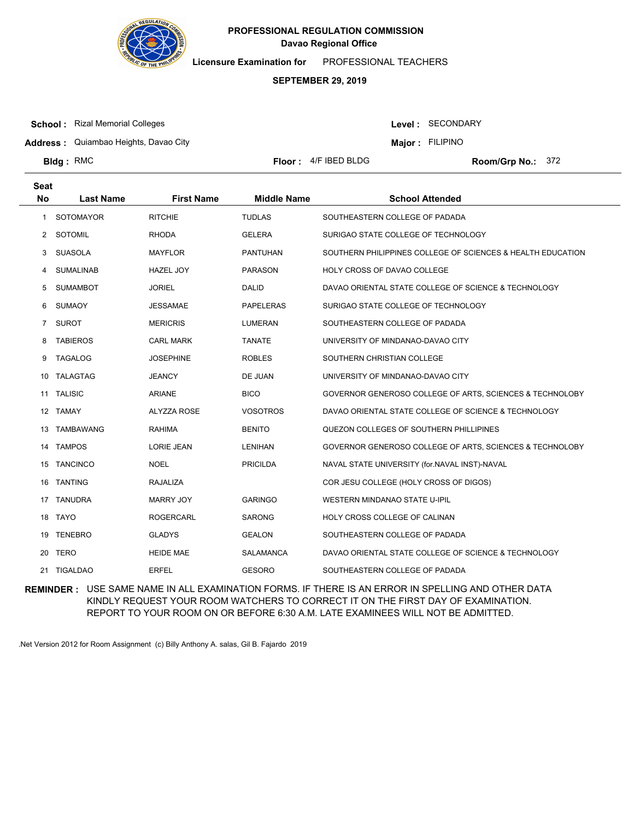

**Licensure Examination for**  PROFESSIONAL TEACHERS

## **SEPTEMBER 29, 2019**

**Floor :**  $4/F$  IBED BLDG

**School :** Rizal Memorial Colleges

**Bldg**: RMC

Level : SECONDARY

**Address :** Quiambao Heights, Davao City

**Major : FILIPINO** 

Room/Grp No.: 372

| <b>Seat</b><br><b>No</b> | <b>Last Name</b> | <b>First Name</b>  | <b>Middle Name</b> | <b>School Attended</b>                                      |
|--------------------------|------------------|--------------------|--------------------|-------------------------------------------------------------|
|                          |                  |                    |                    |                                                             |
| 1.                       | <b>SOTOMAYOR</b> | <b>RITCHIE</b>     | <b>TUDLAS</b>      | SOUTHEASTERN COLLEGE OF PADADA                              |
| 2                        | <b>SOTOMIL</b>   | <b>RHODA</b>       | <b>GELERA</b>      | SURIGAO STATE COLLEGE OF TECHNOLOGY                         |
| 3                        | <b>SUASOLA</b>   | <b>MAYFLOR</b>     | <b>PANTUHAN</b>    | SOUTHERN PHILIPPINES COLLEGE OF SCIENCES & HEALTH EDUCATION |
| 4                        | <b>SUMALINAB</b> | <b>HAZEL JOY</b>   | <b>PARASON</b>     | HOLY CROSS OF DAVAO COLLEGE                                 |
| 5                        | <b>SUMAMBOT</b>  | <b>JORIEL</b>      | <b>DALID</b>       | DAVAO ORIENTAL STATE COLLEGE OF SCIENCE & TECHNOLOGY        |
| 6                        | <b>SUMAOY</b>    | <b>JESSAMAE</b>    | <b>PAPELERAS</b>   | SURIGAO STATE COLLEGE OF TECHNOLOGY                         |
| $\overline{7}$           | <b>SUROT</b>     | <b>MERICRIS</b>    | <b>LUMERAN</b>     | SOUTHEASTERN COLLEGE OF PADADA                              |
| 8                        | <b>TABIEROS</b>  | <b>CARL MARK</b>   | <b>TANATE</b>      | UNIVERSITY OF MINDANAO-DAVAO CITY                           |
| 9                        | <b>TAGALOG</b>   | <b>JOSEPHINE</b>   | <b>ROBLES</b>      | SOUTHERN CHRISTIAN COLLEGE                                  |
| 10                       | <b>TALAGTAG</b>  | <b>JEANCY</b>      | DE JUAN            | UNIVERSITY OF MINDANAO-DAVAO CITY                           |
| 11                       | <b>TALISIC</b>   | <b>ARIANE</b>      | <b>BICO</b>        | GOVERNOR GENEROSO COLLEGE OF ARTS, SCIENCES & TECHNOLOBY    |
| 12                       | TAMAY            | <b>ALYZZA ROSE</b> | <b>VOSOTROS</b>    | DAVAO ORIENTAL STATE COLLEGE OF SCIENCE & TECHNOLOGY        |
| 13                       | <b>TAMBAWANG</b> | <b>RAHIMA</b>      | <b>BENITO</b>      | QUEZON COLLEGES OF SOUTHERN PHILLIPINES                     |
| 14                       | <b>TAMPOS</b>    | <b>LORIE JEAN</b>  | <b>LENIHAN</b>     | GOVERNOR GENEROSO COLLEGE OF ARTS, SCIENCES & TECHNOLOBY    |
| 15                       | <b>TANCINCO</b>  | <b>NOEL</b>        | <b>PRICILDA</b>    | NAVAL STATE UNIVERSITY (for.NAVAL INST)-NAVAL               |
| 16                       | <b>TANTING</b>   | RAJALIZA           |                    | COR JESU COLLEGE (HOLY CROSS OF DIGOS)                      |
| 17                       | <b>TANUDRA</b>   | <b>MARRY JOY</b>   | <b>GARINGO</b>     | <b>WESTERN MINDANAO STATE U-IPIL</b>                        |
| 18                       | <b>TAYO</b>      | <b>ROGERCARL</b>   | <b>SARONG</b>      | HOLY CROSS COLLEGE OF CALINAN                               |
| 19                       | <b>TENEBRO</b>   | <b>GLADYS</b>      | <b>GEALON</b>      | SOUTHEASTERN COLLEGE OF PADADA                              |
| 20                       | <b>TERO</b>      | <b>HEIDE MAE</b>   | <b>SALAMANCA</b>   | DAVAO ORIENTAL STATE COLLEGE OF SCIENCE & TECHNOLOGY        |
| 21                       | <b>TIGALDAO</b>  | <b>ERFEL</b>       | <b>GESORO</b>      | SOUTHEASTERN COLLEGE OF PADADA                              |

**REMINDER :** USE SAME NAME IN ALL EXAMINATION FORMS. IF THERE IS AN ERROR IN SPELLING AND OTHER DATA KINDLY REQUEST YOUR ROOM WATCHERS TO CORRECT IT ON THE FIRST DAY OF EXAMINATION. REPORT TO YOUR ROOM ON OR BEFORE 6:30 A.M. LATE EXAMINEES WILL NOT BE ADMITTED.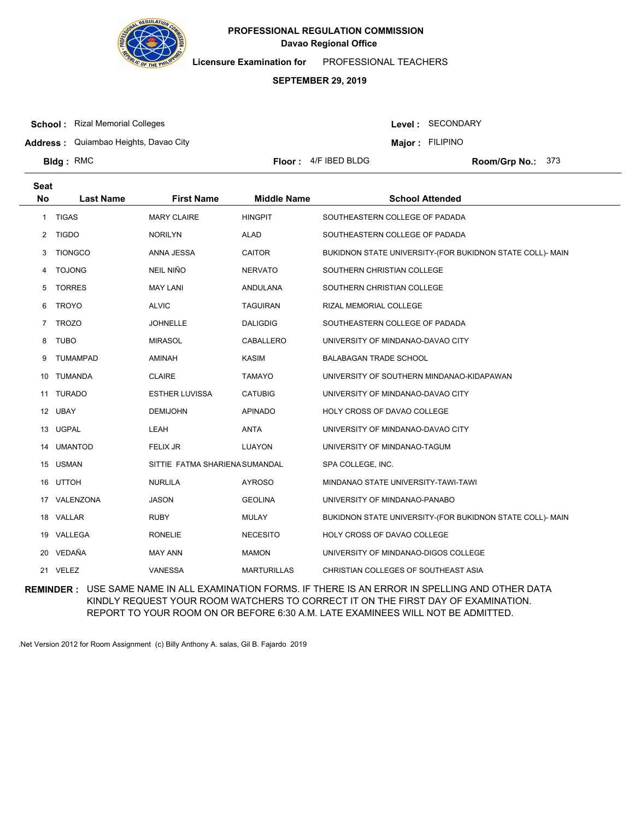

**Licensure Examination for**  PROFESSIONAL TEACHERS

## **SEPTEMBER 29, 2019**

**School :** Rizal Memorial Colleges

Level : SECONDARY

**Address :** Quiambao Heights, Davao City

**Major : FILIPINO** 

**Bldg**: RMC

**Floor :**  $4/F$  IBED BLDG

Room/Grp No.: 373

| Seat      |                  |                                |                    |                                                           |
|-----------|------------------|--------------------------------|--------------------|-----------------------------------------------------------|
| <b>No</b> | <b>Last Name</b> | <b>First Name</b>              | <b>Middle Name</b> | <b>School Attended</b>                                    |
|           | 1 TIGAS          | <b>MARY CLAIRE</b>             | <b>HINGPIT</b>     | SOUTHEASTERN COLLEGE OF PADADA                            |
| 2         | <b>TIGDO</b>     | <b>NORILYN</b>                 | ALAD               | SOUTHEASTERN COLLEGE OF PADADA                            |
| 3         | <b>TIONGCO</b>   | ANNA JESSA                     | CAITOR             | BUKIDNON STATE UNIVERSITY-(FOR BUKIDNON STATE COLL)- MAIN |
| 4         | <b>TOJONG</b>    | <b>NEIL NIÑO</b>               | <b>NERVATO</b>     | SOUTHERN CHRISTIAN COLLEGE                                |
| 5         | <b>TORRES</b>    | <b>MAY LANI</b>                | <b>ANDULANA</b>    | SOUTHERN CHRISTIAN COLLEGE                                |
| 6         | <b>TROYO</b>     | <b>ALVIC</b>                   | <b>TAGUIRAN</b>    | RIZAL MEMORIAL COLLEGE                                    |
| 7         | <b>TROZO</b>     | <b>JOHNELLE</b>                | <b>DALIGDIG</b>    | SOUTHEASTERN COLLEGE OF PADADA                            |
| 8         | <b>TUBO</b>      | <b>MIRASOL</b>                 | CABALLERO          | UNIVERSITY OF MINDANAO-DAVAO CITY                         |
| 9         | <b>TUMAMPAD</b>  | AMINAH                         | <b>KASIM</b>       | <b>BALABAGAN TRADE SCHOOL</b>                             |
| 10        | <b>TUMANDA</b>   | <b>CLAIRE</b>                  | <b>TAMAYO</b>      | UNIVERSITY OF SOUTHERN MINDANAO-KIDAPAWAN                 |
|           | 11 TURADO        | <b>ESTHER LUVISSA</b>          | <b>CATUBIG</b>     | UNIVERSITY OF MINDANAO-DAVAO CITY                         |
| 12        | UBAY             | <b>DEMIJOHN</b>                | <b>APINADO</b>     | HOLY CROSS OF DAVAO COLLEGE                               |
| 13        | <b>UGPAL</b>     | LEAH                           | <b>ANTA</b>        | UNIVERSITY OF MINDANAO-DAVAO CITY                         |
| 14        | <b>UMANTOD</b>   | <b>FELIX JR</b>                | LUAYON             | UNIVERSITY OF MINDANAO-TAGUM                              |
| 15        | <b>USMAN</b>     | SITTIE FATMA SHARIENA SUMANDAL |                    | SPA COLLEGE, INC.                                         |
| 16        | <b>UTTOH</b>     | <b>NURLILA</b>                 | <b>AYROSO</b>      | MINDANAO STATE UNIVERSITY-TAWI-TAWI                       |
|           | 17 VALENZONA     | <b>JASON</b>                   | <b>GEOLINA</b>     | UNIVERSITY OF MINDANAO-PANABO                             |
|           | 18 VALLAR        | <b>RUBY</b>                    | <b>MULAY</b>       | BUKIDNON STATE UNIVERSITY-(FOR BUKIDNON STATE COLL)- MAIN |
|           | 19 VALLEGA       | <b>RONELIE</b>                 | <b>NECESITO</b>    | HOLY CROSS OF DAVAO COLLEGE                               |
|           | 20 VEDAÑA        | <b>MAY ANN</b>                 | <b>MAMON</b>       | UNIVERSITY OF MINDANAO-DIGOS COLLEGE                      |
|           | 21 VELEZ         | VANESSA                        | <b>MARTURILLAS</b> | CHRISTIAN COLLEGES OF SOUTHEAST ASIA                      |

**REMINDER :** USE SAME NAME IN ALL EXAMINATION FORMS. IF THERE IS AN ERROR IN SPELLING AND OTHER DATA KINDLY REQUEST YOUR ROOM WATCHERS TO CORRECT IT ON THE FIRST DAY OF EXAMINATION. REPORT TO YOUR ROOM ON OR BEFORE 6:30 A.M. LATE EXAMINEES WILL NOT BE ADMITTED.